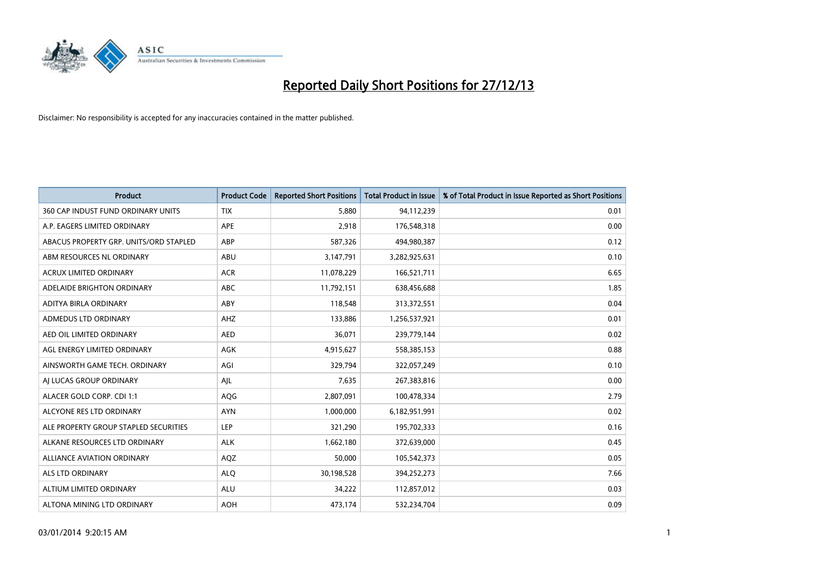

| <b>Product</b>                         | <b>Product Code</b> | <b>Reported Short Positions</b> | <b>Total Product in Issue</b> | % of Total Product in Issue Reported as Short Positions |
|----------------------------------------|---------------------|---------------------------------|-------------------------------|---------------------------------------------------------|
| 360 CAP INDUST FUND ORDINARY UNITS     | <b>TIX</b>          | 5,880                           | 94,112,239                    | 0.01                                                    |
| A.P. EAGERS LIMITED ORDINARY           | APE                 | 2,918                           | 176,548,318                   | 0.00                                                    |
| ABACUS PROPERTY GRP. UNITS/ORD STAPLED | ABP                 | 587,326                         | 494,980,387                   | 0.12                                                    |
| ABM RESOURCES NL ORDINARY              | ABU                 | 3,147,791                       | 3,282,925,631                 | 0.10                                                    |
| <b>ACRUX LIMITED ORDINARY</b>          | <b>ACR</b>          | 11,078,229                      | 166,521,711                   | 6.65                                                    |
| ADELAIDE BRIGHTON ORDINARY             | <b>ABC</b>          | 11,792,151                      | 638,456,688                   | 1.85                                                    |
| ADITYA BIRLA ORDINARY                  | ABY                 | 118,548                         | 313,372,551                   | 0.04                                                    |
| ADMEDUS LTD ORDINARY                   | AHZ                 | 133,886                         | 1,256,537,921                 | 0.01                                                    |
| AED OIL LIMITED ORDINARY               | <b>AED</b>          | 36,071                          | 239,779,144                   | 0.02                                                    |
| AGL ENERGY LIMITED ORDINARY            | <b>AGK</b>          | 4,915,627                       | 558,385,153                   | 0.88                                                    |
| AINSWORTH GAME TECH. ORDINARY          | AGI                 | 329,794                         | 322,057,249                   | 0.10                                                    |
| AI LUCAS GROUP ORDINARY                | AJL                 | 7,635                           | 267,383,816                   | 0.00                                                    |
| ALACER GOLD CORP. CDI 1:1              | AQG                 | 2,807,091                       | 100,478,334                   | 2.79                                                    |
| ALCYONE RES LTD ORDINARY               | <b>AYN</b>          | 1,000,000                       | 6,182,951,991                 | 0.02                                                    |
| ALE PROPERTY GROUP STAPLED SECURITIES  | <b>LEP</b>          | 321,290                         | 195,702,333                   | 0.16                                                    |
| ALKANE RESOURCES LTD ORDINARY          | <b>ALK</b>          | 1,662,180                       | 372,639,000                   | 0.45                                                    |
| ALLIANCE AVIATION ORDINARY             | AQZ                 | 50,000                          | 105,542,373                   | 0.05                                                    |
| <b>ALS LTD ORDINARY</b>                | <b>ALQ</b>          | 30,198,528                      | 394,252,273                   | 7.66                                                    |
| ALTIUM LIMITED ORDINARY                | <b>ALU</b>          | 34,222                          | 112,857,012                   | 0.03                                                    |
| ALTONA MINING LTD ORDINARY             | <b>AOH</b>          | 473,174                         | 532,234,704                   | 0.09                                                    |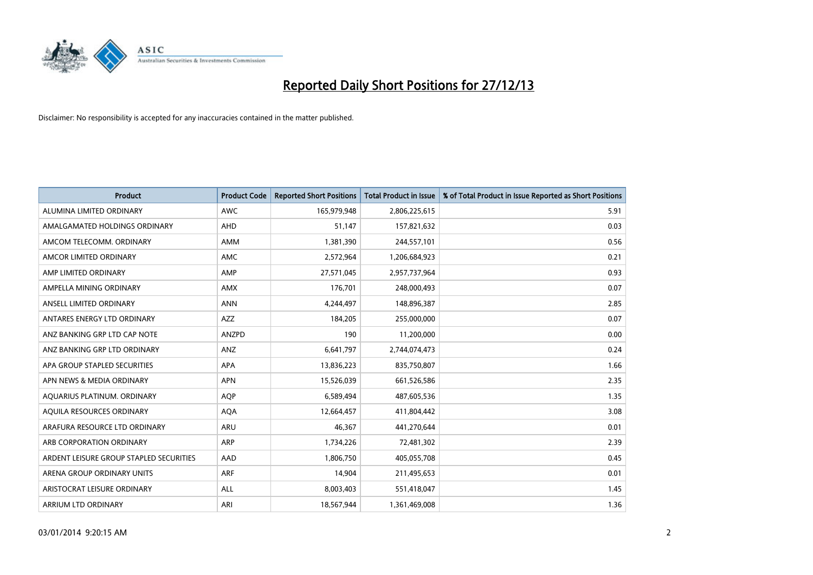

| <b>Product</b>                          | <b>Product Code</b> | <b>Reported Short Positions</b> | <b>Total Product in Issue</b> | % of Total Product in Issue Reported as Short Positions |
|-----------------------------------------|---------------------|---------------------------------|-------------------------------|---------------------------------------------------------|
| ALUMINA LIMITED ORDINARY                | <b>AWC</b>          | 165,979,948                     | 2,806,225,615                 | 5.91                                                    |
| AMALGAMATED HOLDINGS ORDINARY           | <b>AHD</b>          | 51,147                          | 157,821,632                   | 0.03                                                    |
| AMCOM TELECOMM, ORDINARY                | AMM                 | 1,381,390                       | 244,557,101                   | 0.56                                                    |
| AMCOR LIMITED ORDINARY                  | AMC                 | 2,572,964                       | 1,206,684,923                 | 0.21                                                    |
| AMP LIMITED ORDINARY                    | AMP                 | 27,571,045                      | 2,957,737,964                 | 0.93                                                    |
| AMPELLA MINING ORDINARY                 | <b>AMX</b>          | 176,701                         | 248,000,493                   | 0.07                                                    |
| ANSELL LIMITED ORDINARY                 | <b>ANN</b>          | 4,244,497                       | 148,896,387                   | 2.85                                                    |
| ANTARES ENERGY LTD ORDINARY             | AZZ                 | 184,205                         | 255,000,000                   | 0.07                                                    |
| ANZ BANKING GRP LTD CAP NOTE            | ANZPD               | 190                             | 11,200,000                    | 0.00                                                    |
| ANZ BANKING GRP LTD ORDINARY            | ANZ                 | 6,641,797                       | 2,744,074,473                 | 0.24                                                    |
| APA GROUP STAPLED SECURITIES            | APA                 | 13,836,223                      | 835,750,807                   | 1.66                                                    |
| APN NEWS & MEDIA ORDINARY               | <b>APN</b>          | 15,526,039                      | 661,526,586                   | 2.35                                                    |
| AQUARIUS PLATINUM. ORDINARY             | <b>AOP</b>          | 6,589,494                       | 487,605,536                   | 1.35                                                    |
| AQUILA RESOURCES ORDINARY               | <b>AQA</b>          | 12,664,457                      | 411,804,442                   | 3.08                                                    |
| ARAFURA RESOURCE LTD ORDINARY           | <b>ARU</b>          | 46,367                          | 441,270,644                   | 0.01                                                    |
| ARB CORPORATION ORDINARY                | ARP                 | 1,734,226                       | 72,481,302                    | 2.39                                                    |
| ARDENT LEISURE GROUP STAPLED SECURITIES | AAD                 | 1,806,750                       | 405,055,708                   | 0.45                                                    |
| ARENA GROUP ORDINARY UNITS              | <b>ARF</b>          | 14,904                          | 211,495,653                   | 0.01                                                    |
| ARISTOCRAT LEISURE ORDINARY             | ALL                 | 8,003,403                       | 551,418,047                   | 1.45                                                    |
| ARRIUM LTD ORDINARY                     | ARI                 | 18,567,944                      | 1,361,469,008                 | 1.36                                                    |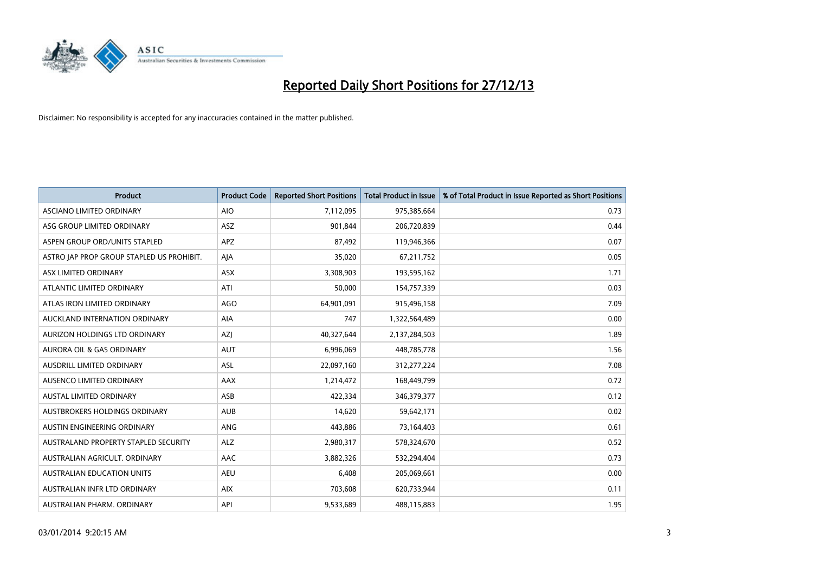

| <b>Product</b>                            | <b>Product Code</b> | <b>Reported Short Positions</b> | <b>Total Product in Issue</b> | % of Total Product in Issue Reported as Short Positions |
|-------------------------------------------|---------------------|---------------------------------|-------------------------------|---------------------------------------------------------|
| ASCIANO LIMITED ORDINARY                  | <b>AIO</b>          | 7,112,095                       | 975,385,664                   | 0.73                                                    |
| ASG GROUP LIMITED ORDINARY                | ASZ                 | 901,844                         | 206,720,839                   | 0.44                                                    |
| ASPEN GROUP ORD/UNITS STAPLED             | <b>APZ</b>          | 87,492                          | 119,946,366                   | 0.07                                                    |
| ASTRO JAP PROP GROUP STAPLED US PROHIBIT. | AJA                 | 35,020                          | 67,211,752                    | 0.05                                                    |
| ASX LIMITED ORDINARY                      | ASX                 | 3,308,903                       | 193,595,162                   | 1.71                                                    |
| ATLANTIC LIMITED ORDINARY                 | ATI                 | 50,000                          | 154,757,339                   | 0.03                                                    |
| ATLAS IRON LIMITED ORDINARY               | <b>AGO</b>          | 64,901,091                      | 915,496,158                   | 7.09                                                    |
| AUCKLAND INTERNATION ORDINARY             | <b>AIA</b>          | 747                             | 1,322,564,489                 | 0.00                                                    |
| AURIZON HOLDINGS LTD ORDINARY             | AZJ                 | 40,327,644                      | 2,137,284,503                 | 1.89                                                    |
| <b>AURORA OIL &amp; GAS ORDINARY</b>      | <b>AUT</b>          | 6,996,069                       | 448,785,778                   | 1.56                                                    |
| AUSDRILL LIMITED ORDINARY                 | <b>ASL</b>          | 22,097,160                      | 312,277,224                   | 7.08                                                    |
| AUSENCO LIMITED ORDINARY                  | AAX                 | 1,214,472                       | 168,449,799                   | 0.72                                                    |
| <b>AUSTAL LIMITED ORDINARY</b>            | ASB                 | 422,334                         | 346,379,377                   | 0.12                                                    |
| AUSTBROKERS HOLDINGS ORDINARY             | <b>AUB</b>          | 14,620                          | 59,642,171                    | 0.02                                                    |
| AUSTIN ENGINEERING ORDINARY               | ANG                 | 443,886                         | 73,164,403                    | 0.61                                                    |
| AUSTRALAND PROPERTY STAPLED SECURITY      | <b>ALZ</b>          | 2,980,317                       | 578,324,670                   | 0.52                                                    |
| AUSTRALIAN AGRICULT. ORDINARY             | AAC                 | 3,882,326                       | 532,294,404                   | 0.73                                                    |
| AUSTRALIAN EDUCATION UNITS                | <b>AEU</b>          | 6,408                           | 205,069,661                   | 0.00                                                    |
| AUSTRALIAN INFR LTD ORDINARY              | <b>AIX</b>          | 703,608                         | 620,733,944                   | 0.11                                                    |
| AUSTRALIAN PHARM. ORDINARY                | API                 | 9,533,689                       | 488,115,883                   | 1.95                                                    |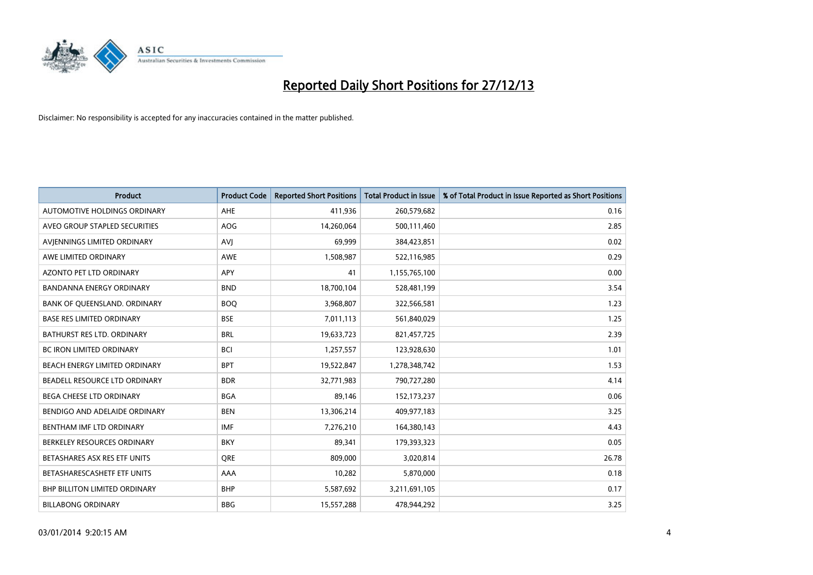

| Product                              | <b>Product Code</b> | <b>Reported Short Positions</b> | <b>Total Product in Issue</b> | % of Total Product in Issue Reported as Short Positions |
|--------------------------------------|---------------------|---------------------------------|-------------------------------|---------------------------------------------------------|
| <b>AUTOMOTIVE HOLDINGS ORDINARY</b>  | AHE                 | 411,936                         | 260,579,682                   | 0.16                                                    |
| AVEO GROUP STAPLED SECURITIES        | AOG                 | 14,260,064                      | 500,111,460                   | 2.85                                                    |
| AVIENNINGS LIMITED ORDINARY          | <b>AVI</b>          | 69,999                          | 384,423,851                   | 0.02                                                    |
| AWE LIMITED ORDINARY                 | <b>AWE</b>          | 1,508,987                       | 522,116,985                   | 0.29                                                    |
| <b>AZONTO PET LTD ORDINARY</b>       | APY                 | 41                              | 1,155,765,100                 | 0.00                                                    |
| <b>BANDANNA ENERGY ORDINARY</b>      | <b>BND</b>          | 18,700,104                      | 528,481,199                   | 3.54                                                    |
| BANK OF QUEENSLAND. ORDINARY         | <b>BOO</b>          | 3,968,807                       | 322,566,581                   | 1.23                                                    |
| <b>BASE RES LIMITED ORDINARY</b>     | <b>BSE</b>          | 7,011,113                       | 561,840,029                   | 1.25                                                    |
| BATHURST RES LTD. ORDINARY           | <b>BRL</b>          | 19,633,723                      | 821,457,725                   | 2.39                                                    |
| <b>BC IRON LIMITED ORDINARY</b>      | <b>BCI</b>          | 1,257,557                       | 123,928,630                   | 1.01                                                    |
| BEACH ENERGY LIMITED ORDINARY        | <b>BPT</b>          | 19,522,847                      | 1,278,348,742                 | 1.53                                                    |
| BEADELL RESOURCE LTD ORDINARY        | <b>BDR</b>          | 32,771,983                      | 790,727,280                   | 4.14                                                    |
| <b>BEGA CHEESE LTD ORDINARY</b>      | <b>BGA</b>          | 89,146                          | 152, 173, 237                 | 0.06                                                    |
| BENDIGO AND ADELAIDE ORDINARY        | <b>BEN</b>          | 13,306,214                      | 409,977,183                   | 3.25                                                    |
| BENTHAM IMF LTD ORDINARY             | <b>IMF</b>          | 7,276,210                       | 164,380,143                   | 4.43                                                    |
| BERKELEY RESOURCES ORDINARY          | <b>BKY</b>          | 89,341                          | 179,393,323                   | 0.05                                                    |
| BETASHARES ASX RES ETF UNITS         | <b>ORE</b>          | 809,000                         | 3,020,814                     | 26.78                                                   |
| BETASHARESCASHETF ETF UNITS          | AAA                 | 10,282                          | 5,870,000                     | 0.18                                                    |
| <b>BHP BILLITON LIMITED ORDINARY</b> | <b>BHP</b>          | 5,587,692                       | 3,211,691,105                 | 0.17                                                    |
| <b>BILLABONG ORDINARY</b>            | <b>BBG</b>          | 15,557,288                      | 478,944,292                   | 3.25                                                    |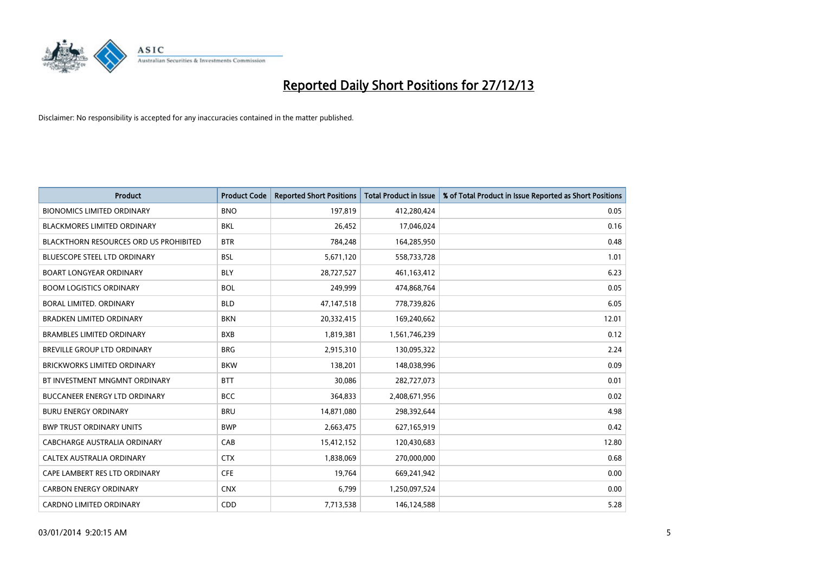

| <b>Product</b>                                | <b>Product Code</b> | <b>Reported Short Positions</b> | <b>Total Product in Issue</b> | % of Total Product in Issue Reported as Short Positions |
|-----------------------------------------------|---------------------|---------------------------------|-------------------------------|---------------------------------------------------------|
| <b>BIONOMICS LIMITED ORDINARY</b>             | <b>BNO</b>          | 197,819                         | 412,280,424                   | 0.05                                                    |
| BLACKMORES LIMITED ORDINARY                   | BKL                 | 26,452                          | 17,046,024                    | 0.16                                                    |
| <b>BLACKTHORN RESOURCES ORD US PROHIBITED</b> | <b>BTR</b>          | 784,248                         | 164,285,950                   | 0.48                                                    |
| <b>BLUESCOPE STEEL LTD ORDINARY</b>           | <b>BSL</b>          | 5,671,120                       | 558,733,728                   | 1.01                                                    |
| <b>BOART LONGYEAR ORDINARY</b>                | <b>BLY</b>          | 28,727,527                      | 461,163,412                   | 6.23                                                    |
| <b>BOOM LOGISTICS ORDINARY</b>                | <b>BOL</b>          | 249,999                         | 474,868,764                   | 0.05                                                    |
| <b>BORAL LIMITED, ORDINARY</b>                | <b>BLD</b>          | 47,147,518                      | 778,739,826                   | 6.05                                                    |
| <b>BRADKEN LIMITED ORDINARY</b>               | <b>BKN</b>          | 20,332,415                      | 169,240,662                   | 12.01                                                   |
| <b>BRAMBLES LIMITED ORDINARY</b>              | <b>BXB</b>          | 1,819,381                       | 1,561,746,239                 | 0.12                                                    |
| <b>BREVILLE GROUP LTD ORDINARY</b>            | <b>BRG</b>          | 2,915,310                       | 130,095,322                   | 2.24                                                    |
| BRICKWORKS LIMITED ORDINARY                   | <b>BKW</b>          | 138,201                         | 148,038,996                   | 0.09                                                    |
| BT INVESTMENT MNGMNT ORDINARY                 | <b>BTT</b>          | 30,086                          | 282,727,073                   | 0.01                                                    |
| <b>BUCCANEER ENERGY LTD ORDINARY</b>          | <b>BCC</b>          | 364,833                         | 2,408,671,956                 | 0.02                                                    |
| <b>BURU ENERGY ORDINARY</b>                   | <b>BRU</b>          | 14,871,080                      | 298,392,644                   | 4.98                                                    |
| <b>BWP TRUST ORDINARY UNITS</b>               | <b>BWP</b>          | 2,663,475                       | 627,165,919                   | 0.42                                                    |
| CABCHARGE AUSTRALIA ORDINARY                  | CAB                 | 15,412,152                      | 120,430,683                   | 12.80                                                   |
| CALTEX AUSTRALIA ORDINARY                     | <b>CTX</b>          | 1,838,069                       | 270,000,000                   | 0.68                                                    |
| CAPE LAMBERT RES LTD ORDINARY                 | <b>CFE</b>          | 19,764                          | 669,241,942                   | 0.00                                                    |
| <b>CARBON ENERGY ORDINARY</b>                 | <b>CNX</b>          | 6,799                           | 1,250,097,524                 | 0.00                                                    |
| <b>CARDNO LIMITED ORDINARY</b>                | CDD                 | 7,713,538                       | 146,124,588                   | 5.28                                                    |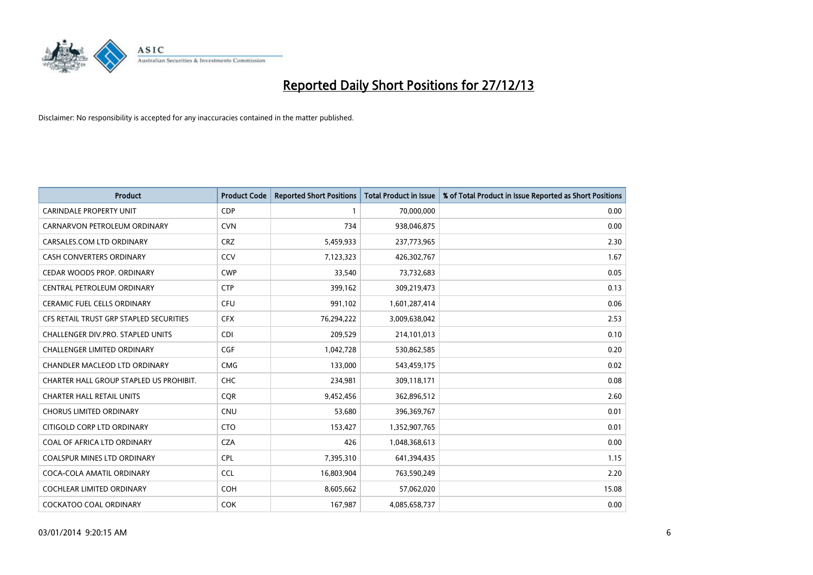

| Product                                 | <b>Product Code</b> | <b>Reported Short Positions</b> | <b>Total Product in Issue</b> | % of Total Product in Issue Reported as Short Positions |
|-----------------------------------------|---------------------|---------------------------------|-------------------------------|---------------------------------------------------------|
| <b>CARINDALE PROPERTY UNIT</b>          | <b>CDP</b>          | $\mathbf{1}$                    | 70,000,000                    | 0.00                                                    |
| CARNARVON PETROLEUM ORDINARY            | <b>CVN</b>          | 734                             | 938,046,875                   | 0.00                                                    |
| CARSALES.COM LTD ORDINARY               | <b>CRZ</b>          | 5,459,933                       | 237,773,965                   | 2.30                                                    |
| CASH CONVERTERS ORDINARY                | CCV                 | 7,123,323                       | 426,302,767                   | 1.67                                                    |
| CEDAR WOODS PROP. ORDINARY              | <b>CWP</b>          | 33,540                          | 73,732,683                    | 0.05                                                    |
| CENTRAL PETROLEUM ORDINARY              | <b>CTP</b>          | 399,162                         | 309,219,473                   | 0.13                                                    |
| <b>CERAMIC FUEL CELLS ORDINARY</b>      | <b>CFU</b>          | 991,102                         | 1,601,287,414                 | 0.06                                                    |
| CFS RETAIL TRUST GRP STAPLED SECURITIES | <b>CFX</b>          | 76,294,222                      | 3,009,638,042                 | 2.53                                                    |
| CHALLENGER DIV.PRO. STAPLED UNITS       | <b>CDI</b>          | 209,529                         | 214,101,013                   | 0.10                                                    |
| <b>CHALLENGER LIMITED ORDINARY</b>      | <b>CGF</b>          | 1,042,728                       | 530,862,585                   | 0.20                                                    |
| CHANDLER MACLEOD LTD ORDINARY           | <b>CMG</b>          | 133,000                         | 543,459,175                   | 0.02                                                    |
| CHARTER HALL GROUP STAPLED US PROHIBIT. | <b>CHC</b>          | 234,981                         | 309,118,171                   | 0.08                                                    |
| <b>CHARTER HALL RETAIL UNITS</b>        | <b>CQR</b>          | 9,452,456                       | 362,896,512                   | 2.60                                                    |
| <b>CHORUS LIMITED ORDINARY</b>          | <b>CNU</b>          | 53,680                          | 396,369,767                   | 0.01                                                    |
| CITIGOLD CORP LTD ORDINARY              | <b>CTO</b>          | 153,427                         | 1,352,907,765                 | 0.01                                                    |
| COAL OF AFRICA LTD ORDINARY             | <b>CZA</b>          | 426                             | 1,048,368,613                 | 0.00                                                    |
| COALSPUR MINES LTD ORDINARY             | <b>CPL</b>          | 7,395,310                       | 641,394,435                   | 1.15                                                    |
| COCA-COLA AMATIL ORDINARY               | <b>CCL</b>          | 16,803,904                      | 763,590,249                   | 2.20                                                    |
| <b>COCHLEAR LIMITED ORDINARY</b>        | <b>COH</b>          | 8,605,662                       | 57,062,020                    | 15.08                                                   |
| <b>COCKATOO COAL ORDINARY</b>           | COK                 | 167,987                         | 4,085,658,737                 | 0.00                                                    |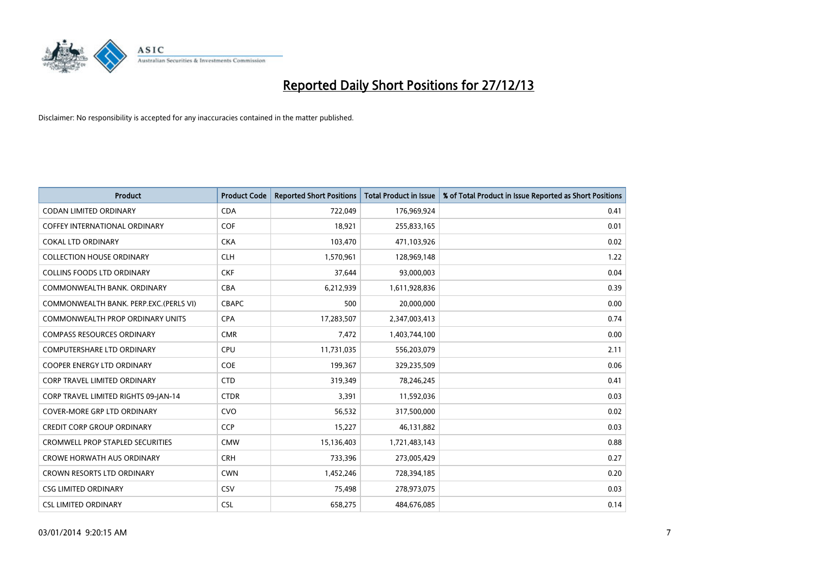

| <b>Product</b>                          | <b>Product Code</b> | <b>Reported Short Positions</b> | <b>Total Product in Issue</b> | % of Total Product in Issue Reported as Short Positions |
|-----------------------------------------|---------------------|---------------------------------|-------------------------------|---------------------------------------------------------|
| <b>CODAN LIMITED ORDINARY</b>           | <b>CDA</b>          | 722,049                         | 176,969,924                   | 0.41                                                    |
| COFFEY INTERNATIONAL ORDINARY           | <b>COF</b>          | 18,921                          | 255,833,165                   | 0.01                                                    |
| <b>COKAL LTD ORDINARY</b>               | <b>CKA</b>          | 103,470                         | 471,103,926                   | 0.02                                                    |
| <b>COLLECTION HOUSE ORDINARY</b>        | <b>CLH</b>          | 1,570,961                       | 128,969,148                   | 1.22                                                    |
| <b>COLLINS FOODS LTD ORDINARY</b>       | <b>CKF</b>          | 37,644                          | 93,000,003                    | 0.04                                                    |
| COMMONWEALTH BANK, ORDINARY             | <b>CBA</b>          | 6,212,939                       | 1,611,928,836                 | 0.39                                                    |
| COMMONWEALTH BANK, PERP.EXC.(PERLS VI)  | <b>CBAPC</b>        | 500                             | 20,000,000                    | 0.00                                                    |
| COMMONWEALTH PROP ORDINARY UNITS        | <b>CPA</b>          | 17,283,507                      | 2,347,003,413                 | 0.74                                                    |
| <b>COMPASS RESOURCES ORDINARY</b>       | <b>CMR</b>          | 7,472                           | 1,403,744,100                 | 0.00                                                    |
| <b>COMPUTERSHARE LTD ORDINARY</b>       | <b>CPU</b>          | 11,731,035                      | 556,203,079                   | 2.11                                                    |
| <b>COOPER ENERGY LTD ORDINARY</b>       | <b>COE</b>          | 199,367                         | 329,235,509                   | 0.06                                                    |
| <b>CORP TRAVEL LIMITED ORDINARY</b>     | <b>CTD</b>          | 319,349                         | 78,246,245                    | 0.41                                                    |
| CORP TRAVEL LIMITED RIGHTS 09-JAN-14    | <b>CTDR</b>         | 3,391                           | 11,592,036                    | 0.03                                                    |
| <b>COVER-MORE GRP LTD ORDINARY</b>      | <b>CVO</b>          | 56,532                          | 317,500,000                   | 0.02                                                    |
| <b>CREDIT CORP GROUP ORDINARY</b>       | <b>CCP</b>          | 15,227                          | 46,131,882                    | 0.03                                                    |
| <b>CROMWELL PROP STAPLED SECURITIES</b> | <b>CMW</b>          | 15,136,403                      | 1,721,483,143                 | 0.88                                                    |
| <b>CROWE HORWATH AUS ORDINARY</b>       | <b>CRH</b>          | 733,396                         | 273,005,429                   | 0.27                                                    |
| CROWN RESORTS LTD ORDINARY              | <b>CWN</b>          | 1,452,246                       | 728,394,185                   | 0.20                                                    |
| <b>CSG LIMITED ORDINARY</b>             | CSV                 | 75,498                          | 278,973,075                   | 0.03                                                    |
| <b>CSL LIMITED ORDINARY</b>             | <b>CSL</b>          | 658,275                         | 484,676,085                   | 0.14                                                    |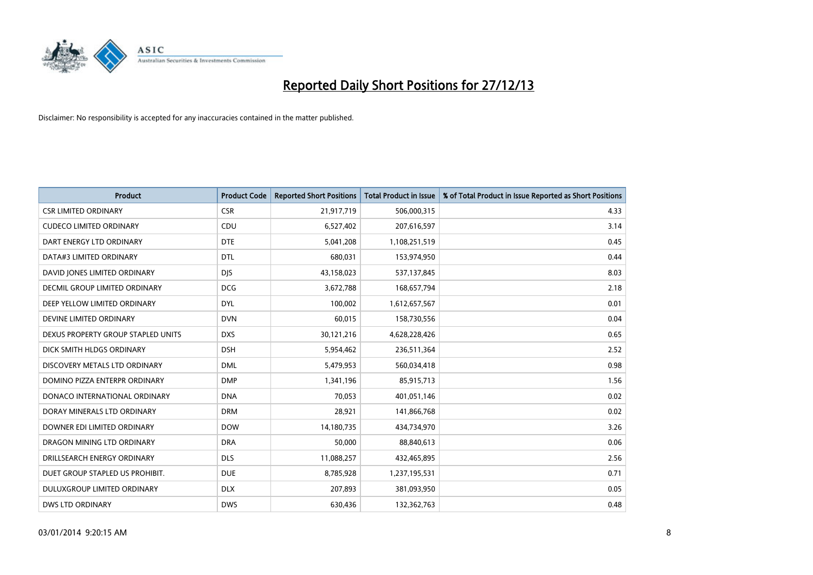

| <b>Product</b>                       | <b>Product Code</b> | <b>Reported Short Positions</b> | <b>Total Product in Issue</b> | % of Total Product in Issue Reported as Short Positions |
|--------------------------------------|---------------------|---------------------------------|-------------------------------|---------------------------------------------------------|
| <b>CSR LIMITED ORDINARY</b>          | <b>CSR</b>          | 21,917,719                      | 506,000,315                   | 4.33                                                    |
| <b>CUDECO LIMITED ORDINARY</b>       | CDU                 | 6,527,402                       | 207,616,597                   | 3.14                                                    |
| DART ENERGY LTD ORDINARY             | <b>DTE</b>          | 5,041,208                       | 1,108,251,519                 | 0.45                                                    |
| DATA#3 LIMITED ORDINARY              | <b>DTL</b>          | 680,031                         | 153,974,950                   | 0.44                                                    |
| DAVID JONES LIMITED ORDINARY         | <b>DJS</b>          | 43,158,023                      | 537,137,845                   | 8.03                                                    |
| <b>DECMIL GROUP LIMITED ORDINARY</b> | <b>DCG</b>          | 3,672,788                       | 168,657,794                   | 2.18                                                    |
| DEEP YELLOW LIMITED ORDINARY         | <b>DYL</b>          | 100,002                         | 1,612,657,567                 | 0.01                                                    |
| DEVINE LIMITED ORDINARY              | <b>DVN</b>          | 60,015                          | 158,730,556                   | 0.04                                                    |
| DEXUS PROPERTY GROUP STAPLED UNITS   | <b>DXS</b>          | 30,121,216                      | 4,628,228,426                 | 0.65                                                    |
| DICK SMITH HLDGS ORDINARY            | <b>DSH</b>          | 5,954,462                       | 236,511,364                   | 2.52                                                    |
| DISCOVERY METALS LTD ORDINARY        | <b>DML</b>          | 5,479,953                       | 560,034,418                   | 0.98                                                    |
| DOMINO PIZZA ENTERPR ORDINARY        | <b>DMP</b>          | 1,341,196                       | 85,915,713                    | 1.56                                                    |
| DONACO INTERNATIONAL ORDINARY        | <b>DNA</b>          | 70,053                          | 401,051,146                   | 0.02                                                    |
| DORAY MINERALS LTD ORDINARY          | <b>DRM</b>          | 28,921                          | 141,866,768                   | 0.02                                                    |
| DOWNER EDI LIMITED ORDINARY          | <b>DOW</b>          | 14,180,735                      | 434,734,970                   | 3.26                                                    |
| DRAGON MINING LTD ORDINARY           | <b>DRA</b>          | 50,000                          | 88,840,613                    | 0.06                                                    |
| DRILLSEARCH ENERGY ORDINARY          | <b>DLS</b>          | 11,088,257                      | 432,465,895                   | 2.56                                                    |
| DUET GROUP STAPLED US PROHIBIT.      | <b>DUE</b>          | 8,785,928                       | 1,237,195,531                 | 0.71                                                    |
| DULUXGROUP LIMITED ORDINARY          | <b>DLX</b>          | 207,893                         | 381,093,950                   | 0.05                                                    |
| DWS LTD ORDINARY                     | <b>DWS</b>          | 630,436                         | 132,362,763                   | 0.48                                                    |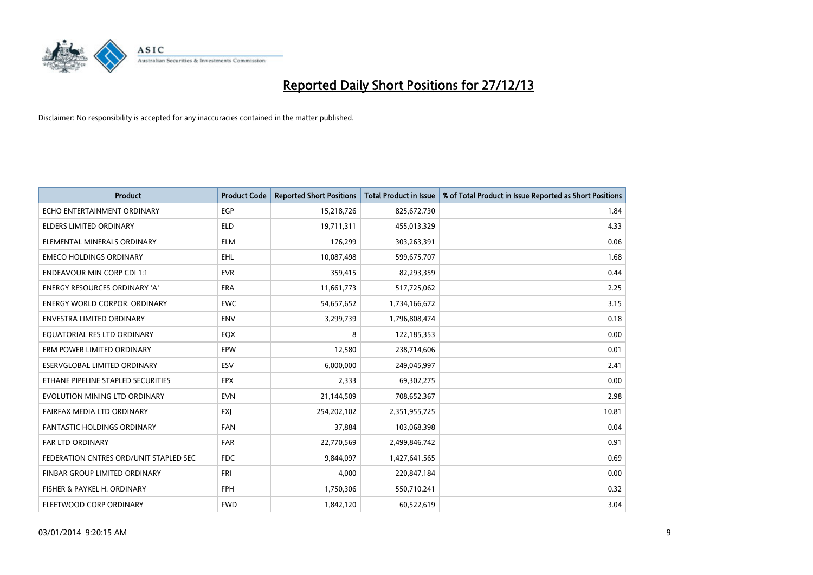

| <b>Product</b>                         | <b>Product Code</b> | <b>Reported Short Positions</b> | <b>Total Product in Issue</b> | % of Total Product in Issue Reported as Short Positions |
|----------------------------------------|---------------------|---------------------------------|-------------------------------|---------------------------------------------------------|
| ECHO ENTERTAINMENT ORDINARY            | <b>EGP</b>          | 15,218,726                      | 825,672,730                   | 1.84                                                    |
| ELDERS LIMITED ORDINARY                | <b>ELD</b>          | 19,711,311                      | 455,013,329                   | 4.33                                                    |
| ELEMENTAL MINERALS ORDINARY            | <b>ELM</b>          | 176,299                         | 303,263,391                   | 0.06                                                    |
| <b>EMECO HOLDINGS ORDINARY</b>         | <b>EHL</b>          | 10,087,498                      | 599,675,707                   | 1.68                                                    |
| <b>ENDEAVOUR MIN CORP CDI 1:1</b>      | <b>EVR</b>          | 359,415                         | 82,293,359                    | 0.44                                                    |
| ENERGY RESOURCES ORDINARY 'A'          | <b>ERA</b>          | 11,661,773                      | 517,725,062                   | 2.25                                                    |
| ENERGY WORLD CORPOR. ORDINARY          | <b>EWC</b>          | 54,657,652                      | 1,734,166,672                 | 3.15                                                    |
| ENVESTRA LIMITED ORDINARY              | ENV                 | 3,299,739                       | 1,796,808,474                 | 0.18                                                    |
| EQUATORIAL RES LTD ORDINARY            | EQX                 | 8                               | 122,185,353                   | 0.00                                                    |
| ERM POWER LIMITED ORDINARY             | EPW                 | 12,580                          | 238,714,606                   | 0.01                                                    |
| ESERVGLOBAL LIMITED ORDINARY           | <b>ESV</b>          | 6,000,000                       | 249,045,997                   | 2.41                                                    |
| ETHANE PIPELINE STAPLED SECURITIES     | <b>EPX</b>          | 2,333                           | 69,302,275                    | 0.00                                                    |
| EVOLUTION MINING LTD ORDINARY          | <b>EVN</b>          | 21,144,509                      | 708,652,367                   | 2.98                                                    |
| FAIRFAX MEDIA LTD ORDINARY             | <b>FXI</b>          | 254,202,102                     | 2,351,955,725                 | 10.81                                                   |
| <b>FANTASTIC HOLDINGS ORDINARY</b>     | <b>FAN</b>          | 37,884                          | 103,068,398                   | 0.04                                                    |
| <b>FAR LTD ORDINARY</b>                | <b>FAR</b>          | 22,770,569                      | 2,499,846,742                 | 0.91                                                    |
| FEDERATION CNTRES ORD/UNIT STAPLED SEC | <b>FDC</b>          | 9,844,097                       | 1,427,641,565                 | 0.69                                                    |
| FINBAR GROUP LIMITED ORDINARY          | <b>FRI</b>          | 4,000                           | 220,847,184                   | 0.00                                                    |
| FISHER & PAYKEL H. ORDINARY            | <b>FPH</b>          | 1,750,306                       | 550,710,241                   | 0.32                                                    |
| FLEETWOOD CORP ORDINARY                | <b>FWD</b>          | 1,842,120                       | 60,522,619                    | 3.04                                                    |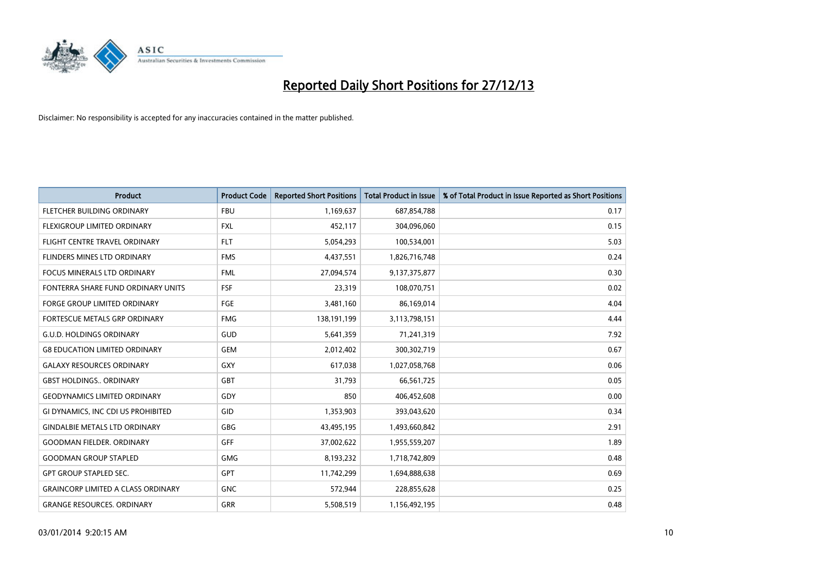

| <b>Product</b>                            | <b>Product Code</b> | <b>Reported Short Positions</b> | <b>Total Product in Issue</b> | % of Total Product in Issue Reported as Short Positions |
|-------------------------------------------|---------------------|---------------------------------|-------------------------------|---------------------------------------------------------|
| FLETCHER BUILDING ORDINARY                | <b>FBU</b>          | 1,169,637                       | 687,854,788                   | 0.17                                                    |
| FLEXIGROUP LIMITED ORDINARY               | <b>FXL</b>          | 452,117                         | 304,096,060                   | 0.15                                                    |
| FLIGHT CENTRE TRAVEL ORDINARY             | <b>FLT</b>          | 5,054,293                       | 100,534,001                   | 5.03                                                    |
| FLINDERS MINES LTD ORDINARY               | <b>FMS</b>          | 4,437,551                       | 1,826,716,748                 | 0.24                                                    |
| <b>FOCUS MINERALS LTD ORDINARY</b>        | <b>FML</b>          | 27,094,574                      | 9,137,375,877                 | 0.30                                                    |
| FONTERRA SHARE FUND ORDINARY UNITS        | <b>FSF</b>          | 23,319                          | 108,070,751                   | 0.02                                                    |
| <b>FORGE GROUP LIMITED ORDINARY</b>       | FGE                 | 3,481,160                       | 86,169,014                    | 4.04                                                    |
| FORTESCUE METALS GRP ORDINARY             | <b>FMG</b>          | 138,191,199                     | 3,113,798,151                 | 4.44                                                    |
| <b>G.U.D. HOLDINGS ORDINARY</b>           | GUD                 | 5,641,359                       | 71,241,319                    | 7.92                                                    |
| <b>G8 EDUCATION LIMITED ORDINARY</b>      | <b>GEM</b>          | 2,012,402                       | 300,302,719                   | 0.67                                                    |
| <b>GALAXY RESOURCES ORDINARY</b>          | GXY                 | 617,038                         | 1,027,058,768                 | 0.06                                                    |
| <b>GBST HOLDINGS., ORDINARY</b>           | <b>GBT</b>          | 31,793                          | 66,561,725                    | 0.05                                                    |
| <b>GEODYNAMICS LIMITED ORDINARY</b>       | GDY                 | 850                             | 406,452,608                   | 0.00                                                    |
| GI DYNAMICS, INC CDI US PROHIBITED        | GID                 | 1,353,903                       | 393,043,620                   | 0.34                                                    |
| <b>GINDALBIE METALS LTD ORDINARY</b>      | GBG                 | 43,495,195                      | 1,493,660,842                 | 2.91                                                    |
| GOODMAN FIELDER. ORDINARY                 | GFF                 | 37,002,622                      | 1,955,559,207                 | 1.89                                                    |
| <b>GOODMAN GROUP STAPLED</b>              | <b>GMG</b>          | 8,193,232                       | 1,718,742,809                 | 0.48                                                    |
| <b>GPT GROUP STAPLED SEC.</b>             | <b>GPT</b>          | 11,742,299                      | 1,694,888,638                 | 0.69                                                    |
| <b>GRAINCORP LIMITED A CLASS ORDINARY</b> | <b>GNC</b>          | 572,944                         | 228,855,628                   | 0.25                                                    |
| <b>GRANGE RESOURCES. ORDINARY</b>         | GRR                 | 5,508,519                       | 1,156,492,195                 | 0.48                                                    |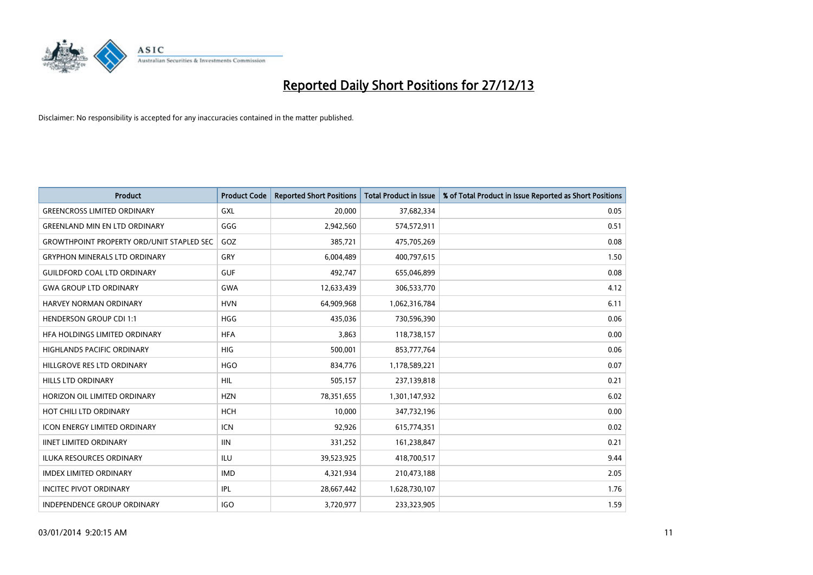

| <b>Product</b>                                   | <b>Product Code</b> | <b>Reported Short Positions</b> | <b>Total Product in Issue</b> | % of Total Product in Issue Reported as Short Positions |
|--------------------------------------------------|---------------------|---------------------------------|-------------------------------|---------------------------------------------------------|
| <b>GREENCROSS LIMITED ORDINARY</b>               | <b>GXL</b>          | 20,000                          | 37,682,334                    | 0.05                                                    |
| <b>GREENLAND MIN EN LTD ORDINARY</b>             | GGG                 | 2,942,560                       | 574,572,911                   | 0.51                                                    |
| <b>GROWTHPOINT PROPERTY ORD/UNIT STAPLED SEC</b> | GOZ                 | 385,721                         | 475,705,269                   | 0.08                                                    |
| <b>GRYPHON MINERALS LTD ORDINARY</b>             | GRY                 | 6,004,489                       | 400,797,615                   | 1.50                                                    |
| <b>GUILDFORD COAL LTD ORDINARY</b>               | <b>GUF</b>          | 492,747                         | 655,046,899                   | 0.08                                                    |
| <b>GWA GROUP LTD ORDINARY</b>                    | <b>GWA</b>          | 12,633,439                      | 306,533,770                   | 4.12                                                    |
| HARVEY NORMAN ORDINARY                           | <b>HVN</b>          | 64,909,968                      | 1,062,316,784                 | 6.11                                                    |
| <b>HENDERSON GROUP CDI 1:1</b>                   | <b>HGG</b>          | 435.036                         | 730,596,390                   | 0.06                                                    |
| HFA HOLDINGS LIMITED ORDINARY                    | <b>HFA</b>          | 3,863                           | 118,738,157                   | 0.00                                                    |
| <b>HIGHLANDS PACIFIC ORDINARY</b>                | <b>HIG</b>          | 500,001                         | 853,777,764                   | 0.06                                                    |
| HILLGROVE RES LTD ORDINARY                       | <b>HGO</b>          | 834,776                         | 1,178,589,221                 | 0.07                                                    |
| HILLS LTD ORDINARY                               | <b>HIL</b>          | 505,157                         | 237,139,818                   | 0.21                                                    |
| HORIZON OIL LIMITED ORDINARY                     | <b>HZN</b>          | 78,351,655                      | 1,301,147,932                 | 6.02                                                    |
| HOT CHILI LTD ORDINARY                           | <b>HCH</b>          | 10,000                          | 347,732,196                   | 0.00                                                    |
| ICON ENERGY LIMITED ORDINARY                     | <b>ICN</b>          | 92,926                          | 615,774,351                   | 0.02                                                    |
| <b>IINET LIMITED ORDINARY</b>                    | <b>IIN</b>          | 331,252                         | 161,238,847                   | 0.21                                                    |
| ILUKA RESOURCES ORDINARY                         | ILU                 | 39,523,925                      | 418,700,517                   | 9.44                                                    |
| <b>IMDEX LIMITED ORDINARY</b>                    | <b>IMD</b>          | 4,321,934                       | 210,473,188                   | 2.05                                                    |
| <b>INCITEC PIVOT ORDINARY</b>                    | <b>IPL</b>          | 28,667,442                      | 1,628,730,107                 | 1.76                                                    |
| INDEPENDENCE GROUP ORDINARY                      | <b>IGO</b>          | 3,720,977                       | 233,323,905                   | 1.59                                                    |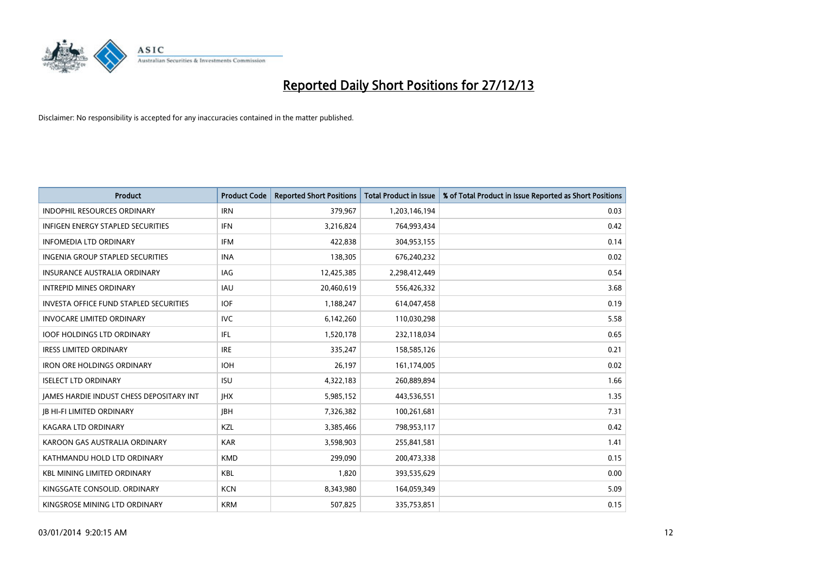

| <b>Product</b>                                | <b>Product Code</b> | <b>Reported Short Positions</b> | <b>Total Product in Issue</b> | % of Total Product in Issue Reported as Short Positions |
|-----------------------------------------------|---------------------|---------------------------------|-------------------------------|---------------------------------------------------------|
| <b>INDOPHIL RESOURCES ORDINARY</b>            | <b>IRN</b>          | 379,967                         | 1,203,146,194                 | 0.03                                                    |
| INFIGEN ENERGY STAPLED SECURITIES             | <b>IFN</b>          | 3,216,824                       | 764,993,434                   | 0.42                                                    |
| <b>INFOMEDIA LTD ORDINARY</b>                 | IFM                 | 422,838                         | 304,953,155                   | 0.14                                                    |
| INGENIA GROUP STAPLED SECURITIES              | <b>INA</b>          | 138,305                         | 676,240,232                   | 0.02                                                    |
| <b>INSURANCE AUSTRALIA ORDINARY</b>           | IAG                 | 12,425,385                      | 2,298,412,449                 | 0.54                                                    |
| <b>INTREPID MINES ORDINARY</b>                | <b>IAU</b>          | 20,460,619                      | 556,426,332                   | 3.68                                                    |
| <b>INVESTA OFFICE FUND STAPLED SECURITIES</b> | <b>IOF</b>          | 1,188,247                       | 614,047,458                   | 0.19                                                    |
| <b>INVOCARE LIMITED ORDINARY</b>              | <b>IVC</b>          | 6,142,260                       | 110,030,298                   | 5.58                                                    |
| <b>IOOF HOLDINGS LTD ORDINARY</b>             | IFL.                | 1,520,178                       | 232,118,034                   | 0.65                                                    |
| <b>IRESS LIMITED ORDINARY</b>                 | <b>IRE</b>          | 335,247                         | 158,585,126                   | 0.21                                                    |
| <b>IRON ORE HOLDINGS ORDINARY</b>             | <b>IOH</b>          | 26,197                          | 161,174,005                   | 0.02                                                    |
| <b>ISELECT LTD ORDINARY</b>                   | <b>ISU</b>          | 4,322,183                       | 260,889,894                   | 1.66                                                    |
| JAMES HARDIE INDUST CHESS DEPOSITARY INT      | <b>IHX</b>          | 5,985,152                       | 443,536,551                   | 1.35                                                    |
| <b>JB HI-FI LIMITED ORDINARY</b>              | <b>IBH</b>          | 7,326,382                       | 100,261,681                   | 7.31                                                    |
| <b>KAGARA LTD ORDINARY</b>                    | <b>KZL</b>          | 3,385,466                       | 798,953,117                   | 0.42                                                    |
| KAROON GAS AUSTRALIA ORDINARY                 | <b>KAR</b>          | 3,598,903                       | 255,841,581                   | 1.41                                                    |
| KATHMANDU HOLD LTD ORDINARY                   | <b>KMD</b>          | 299,090                         | 200,473,338                   | 0.15                                                    |
| <b>KBL MINING LIMITED ORDINARY</b>            | <b>KBL</b>          | 1.820                           | 393,535,629                   | 0.00                                                    |
| KINGSGATE CONSOLID, ORDINARY                  | <b>KCN</b>          | 8,343,980                       | 164,059,349                   | 5.09                                                    |
| KINGSROSE MINING LTD ORDINARY                 | <b>KRM</b>          | 507,825                         | 335,753,851                   | 0.15                                                    |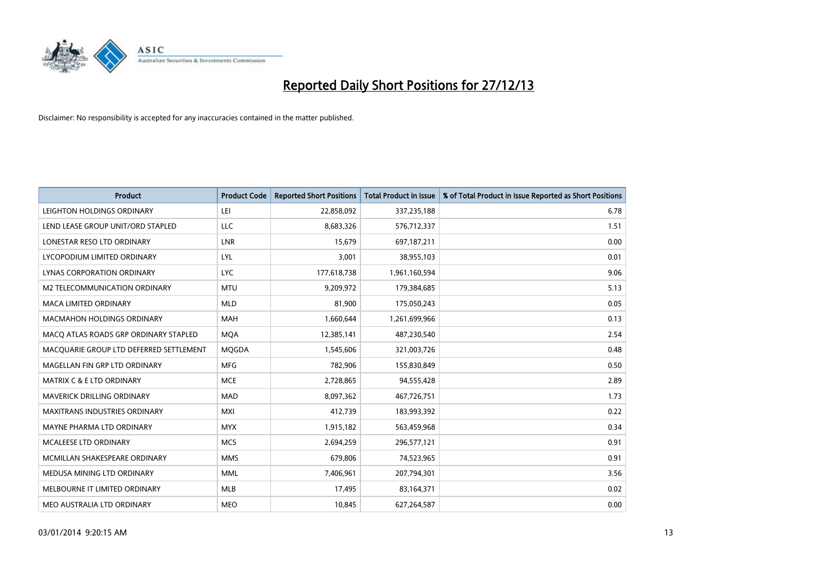

| <b>Product</b>                          | <b>Product Code</b> | <b>Reported Short Positions</b> | <b>Total Product in Issue</b> | % of Total Product in Issue Reported as Short Positions |
|-----------------------------------------|---------------------|---------------------------------|-------------------------------|---------------------------------------------------------|
| LEIGHTON HOLDINGS ORDINARY              | LEI                 | 22,858,092                      | 337,235,188                   | 6.78                                                    |
| LEND LEASE GROUP UNIT/ORD STAPLED       | LLC                 | 8,683,326                       | 576,712,337                   | 1.51                                                    |
| LONESTAR RESO LTD ORDINARY              | <b>LNR</b>          | 15,679                          | 697,187,211                   | 0.00                                                    |
| LYCOPODIUM LIMITED ORDINARY             | LYL                 | 3,001                           | 38,955,103                    | 0.01                                                    |
| LYNAS CORPORATION ORDINARY              | <b>LYC</b>          | 177,618,738                     | 1,961,160,594                 | 9.06                                                    |
| <b>M2 TELECOMMUNICATION ORDINARY</b>    | <b>MTU</b>          | 9,209,972                       | 179,384,685                   | 5.13                                                    |
| <b>MACA LIMITED ORDINARY</b>            | <b>MLD</b>          | 81,900                          | 175,050,243                   | 0.05                                                    |
| MACMAHON HOLDINGS ORDINARY              | MAH                 | 1,660,644                       | 1,261,699,966                 | 0.13                                                    |
| MACO ATLAS ROADS GRP ORDINARY STAPLED   | <b>MOA</b>          | 12,385,141                      | 487,230,540                   | 2.54                                                    |
| MACQUARIE GROUP LTD DEFERRED SETTLEMENT | <b>MOGDA</b>        | 1,545,606                       | 321,003,726                   | 0.48                                                    |
| MAGELLAN FIN GRP LTD ORDINARY           | <b>MFG</b>          | 782,906                         | 155,830,849                   | 0.50                                                    |
| <b>MATRIX C &amp; E LTD ORDINARY</b>    | <b>MCE</b>          | 2,728,865                       | 94,555,428                    | 2.89                                                    |
| <b>MAVERICK DRILLING ORDINARY</b>       | <b>MAD</b>          | 8,097,362                       | 467,726,751                   | 1.73                                                    |
| <b>MAXITRANS INDUSTRIES ORDINARY</b>    | <b>MXI</b>          | 412,739                         | 183,993,392                   | 0.22                                                    |
| MAYNE PHARMA LTD ORDINARY               | <b>MYX</b>          | 1,915,182                       | 563,459,968                   | 0.34                                                    |
| MCALEESE LTD ORDINARY                   | <b>MCS</b>          | 2,694,259                       | 296,577,121                   | 0.91                                                    |
| MCMILLAN SHAKESPEARE ORDINARY           | <b>MMS</b>          | 679,806                         | 74,523,965                    | 0.91                                                    |
| MEDUSA MINING LTD ORDINARY              | <b>MML</b>          | 7,406,961                       | 207,794,301                   | 3.56                                                    |
| MELBOURNE IT LIMITED ORDINARY           | <b>MLB</b>          | 17,495                          | 83,164,371                    | 0.02                                                    |
| MEO AUSTRALIA LTD ORDINARY              | <b>MEO</b>          | 10,845                          | 627,264,587                   | 0.00                                                    |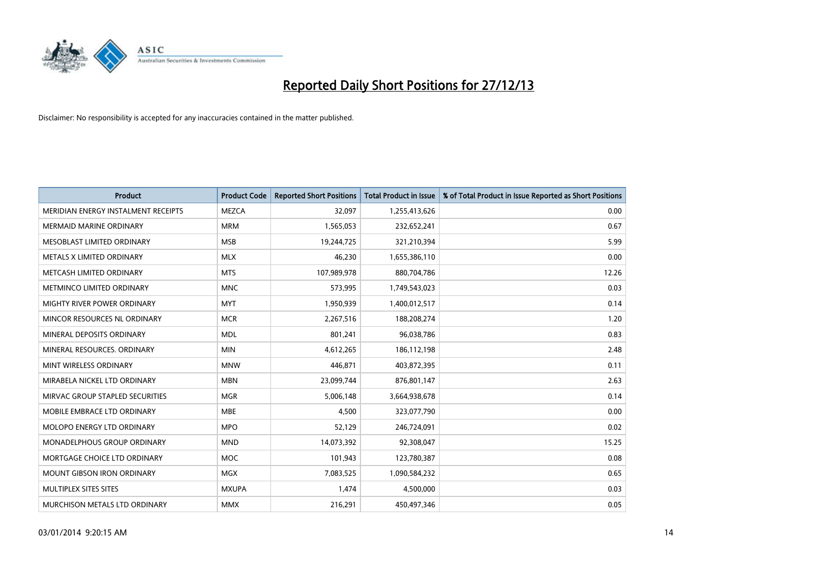

| <b>Product</b>                      | <b>Product Code</b> | <b>Reported Short Positions</b> | <b>Total Product in Issue</b> | % of Total Product in Issue Reported as Short Positions |
|-------------------------------------|---------------------|---------------------------------|-------------------------------|---------------------------------------------------------|
| MERIDIAN ENERGY INSTALMENT RECEIPTS | <b>MEZCA</b>        | 32,097                          | 1,255,413,626                 | 0.00                                                    |
| <b>MERMAID MARINE ORDINARY</b>      | <b>MRM</b>          | 1,565,053                       | 232,652,241                   | 0.67                                                    |
| MESOBLAST LIMITED ORDINARY          | <b>MSB</b>          | 19,244,725                      | 321,210,394                   | 5.99                                                    |
| METALS X LIMITED ORDINARY           | <b>MLX</b>          | 46,230                          | 1,655,386,110                 | 0.00                                                    |
| METCASH LIMITED ORDINARY            | <b>MTS</b>          | 107,989,978                     | 880,704,786                   | 12.26                                                   |
| METMINCO LIMITED ORDINARY           | <b>MNC</b>          | 573,995                         | 1,749,543,023                 | 0.03                                                    |
| MIGHTY RIVER POWER ORDINARY         | <b>MYT</b>          | 1,950,939                       | 1,400,012,517                 | 0.14                                                    |
| MINCOR RESOURCES NL ORDINARY        | <b>MCR</b>          | 2,267,516                       | 188,208,274                   | 1.20                                                    |
| MINERAL DEPOSITS ORDINARY           | <b>MDL</b>          | 801,241                         | 96,038,786                    | 0.83                                                    |
| MINERAL RESOURCES, ORDINARY         | <b>MIN</b>          | 4,612,265                       | 186,112,198                   | 2.48                                                    |
| MINT WIRELESS ORDINARY              | <b>MNW</b>          | 446,871                         | 403,872,395                   | 0.11                                                    |
| MIRABELA NICKEL LTD ORDINARY        | <b>MBN</b>          | 23,099,744                      | 876,801,147                   | 2.63                                                    |
| MIRVAC GROUP STAPLED SECURITIES     | <b>MGR</b>          | 5,006,148                       | 3,664,938,678                 | 0.14                                                    |
| MOBILE EMBRACE LTD ORDINARY         | <b>MBE</b>          | 4,500                           | 323,077,790                   | 0.00                                                    |
| MOLOPO ENERGY LTD ORDINARY          | <b>MPO</b>          | 52,129                          | 246,724,091                   | 0.02                                                    |
| MONADELPHOUS GROUP ORDINARY         | <b>MND</b>          | 14,073,392                      | 92,308,047                    | 15.25                                                   |
| MORTGAGE CHOICE LTD ORDINARY        | MOC                 | 101,943                         | 123,780,387                   | 0.08                                                    |
| <b>MOUNT GIBSON IRON ORDINARY</b>   | <b>MGX</b>          | 7,083,525                       | 1,090,584,232                 | 0.65                                                    |
| MULTIPLEX SITES SITES               | <b>MXUPA</b>        | 1,474                           | 4,500,000                     | 0.03                                                    |
| MURCHISON METALS LTD ORDINARY       | <b>MMX</b>          | 216,291                         | 450,497,346                   | 0.05                                                    |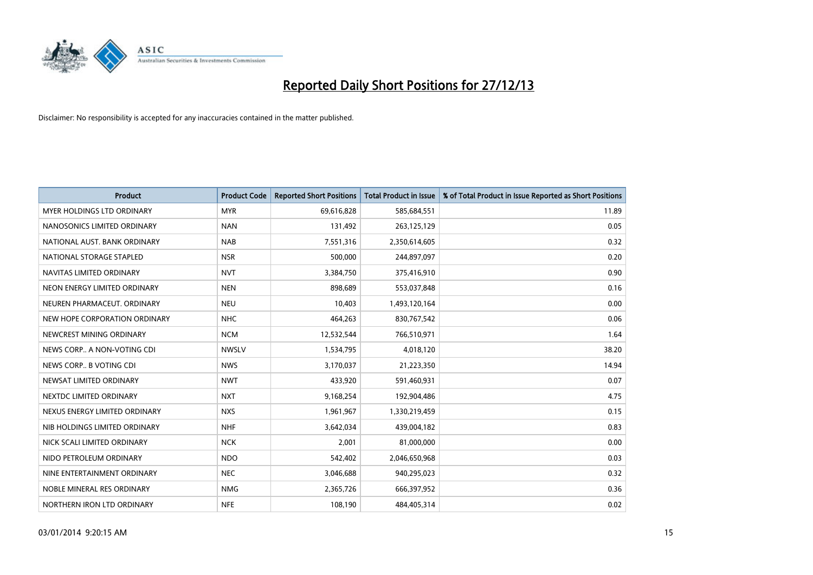

| <b>Product</b>                    | <b>Product Code</b> | <b>Reported Short Positions</b> | <b>Total Product in Issue</b> | % of Total Product in Issue Reported as Short Positions |
|-----------------------------------|---------------------|---------------------------------|-------------------------------|---------------------------------------------------------|
| <b>MYER HOLDINGS LTD ORDINARY</b> | <b>MYR</b>          | 69,616,828                      | 585,684,551                   | 11.89                                                   |
| NANOSONICS LIMITED ORDINARY       | <b>NAN</b>          | 131,492                         | 263,125,129                   | 0.05                                                    |
| NATIONAL AUST. BANK ORDINARY      | <b>NAB</b>          | 7,551,316                       | 2,350,614,605                 | 0.32                                                    |
| NATIONAL STORAGE STAPLED          | <b>NSR</b>          | 500,000                         | 244,897,097                   | 0.20                                                    |
| NAVITAS LIMITED ORDINARY          | <b>NVT</b>          | 3,384,750                       | 375,416,910                   | 0.90                                                    |
| NEON ENERGY LIMITED ORDINARY      | <b>NEN</b>          | 898,689                         | 553,037,848                   | 0.16                                                    |
| NEUREN PHARMACEUT. ORDINARY       | <b>NEU</b>          | 10,403                          | 1,493,120,164                 | 0.00                                                    |
| NEW HOPE CORPORATION ORDINARY     | <b>NHC</b>          | 464,263                         | 830,767,542                   | 0.06                                                    |
| NEWCREST MINING ORDINARY          | <b>NCM</b>          | 12,532,544                      | 766,510,971                   | 1.64                                                    |
| NEWS CORP A NON-VOTING CDI        | <b>NWSLV</b>        | 1,534,795                       | 4,018,120                     | 38.20                                                   |
| NEWS CORP B VOTING CDI            | <b>NWS</b>          | 3,170,037                       | 21,223,350                    | 14.94                                                   |
| NEWSAT LIMITED ORDINARY           | <b>NWT</b>          | 433,920                         | 591,460,931                   | 0.07                                                    |
| NEXTDC LIMITED ORDINARY           | <b>NXT</b>          | 9,168,254                       | 192,904,486                   | 4.75                                                    |
| NEXUS ENERGY LIMITED ORDINARY     | <b>NXS</b>          | 1,961,967                       | 1,330,219,459                 | 0.15                                                    |
| NIB HOLDINGS LIMITED ORDINARY     | <b>NHF</b>          | 3,642,034                       | 439,004,182                   | 0.83                                                    |
| NICK SCALI LIMITED ORDINARY       | <b>NCK</b>          | 2,001                           | 81,000,000                    | 0.00                                                    |
| NIDO PETROLEUM ORDINARY           | <b>NDO</b>          | 542,402                         | 2,046,650,968                 | 0.03                                                    |
| NINE ENTERTAINMENT ORDINARY       | <b>NEC</b>          | 3,046,688                       | 940,295,023                   | 0.32                                                    |
| NOBLE MINERAL RES ORDINARY        | <b>NMG</b>          | 2,365,726                       | 666,397,952                   | 0.36                                                    |
| NORTHERN IRON LTD ORDINARY        | <b>NFE</b>          | 108,190                         | 484,405,314                   | 0.02                                                    |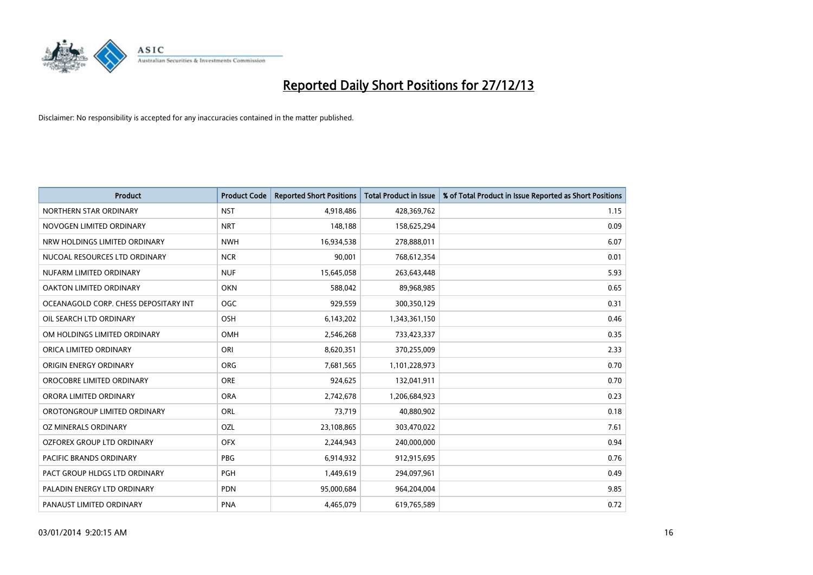

| <b>Product</b>                        | <b>Product Code</b> | <b>Reported Short Positions</b> | <b>Total Product in Issue</b> | % of Total Product in Issue Reported as Short Positions |
|---------------------------------------|---------------------|---------------------------------|-------------------------------|---------------------------------------------------------|
| NORTHERN STAR ORDINARY                | <b>NST</b>          | 4,918,486                       | 428,369,762                   | 1.15                                                    |
| NOVOGEN LIMITED ORDINARY              | <b>NRT</b>          | 148,188                         | 158,625,294                   | 0.09                                                    |
| NRW HOLDINGS LIMITED ORDINARY         | <b>NWH</b>          | 16,934,538                      | 278,888,011                   | 6.07                                                    |
| NUCOAL RESOURCES LTD ORDINARY         | <b>NCR</b>          | 90.001                          | 768,612,354                   | 0.01                                                    |
| NUFARM LIMITED ORDINARY               | <b>NUF</b>          | 15,645,058                      | 263,643,448                   | 5.93                                                    |
| OAKTON LIMITED ORDINARY               | <b>OKN</b>          | 588,042                         | 89,968,985                    | 0.65                                                    |
| OCEANAGOLD CORP. CHESS DEPOSITARY INT | <b>OGC</b>          | 929,559                         | 300,350,129                   | 0.31                                                    |
| OIL SEARCH LTD ORDINARY               | OSH                 | 6,143,202                       | 1,343,361,150                 | 0.46                                                    |
| OM HOLDINGS LIMITED ORDINARY          | OMH                 | 2,546,268                       | 733,423,337                   | 0.35                                                    |
| ORICA LIMITED ORDINARY                | ORI                 | 8,620,351                       | 370,255,009                   | 2.33                                                    |
| ORIGIN ENERGY ORDINARY                | ORG                 | 7,681,565                       | 1,101,228,973                 | 0.70                                                    |
| OROCOBRE LIMITED ORDINARY             | <b>ORE</b>          | 924,625                         | 132,041,911                   | 0.70                                                    |
| ORORA LIMITED ORDINARY                | <b>ORA</b>          | 2,742,678                       | 1,206,684,923                 | 0.23                                                    |
| OROTONGROUP LIMITED ORDINARY          | ORL                 | 73,719                          | 40,880,902                    | 0.18                                                    |
| OZ MINERALS ORDINARY                  | OZL                 | 23,108,865                      | 303,470,022                   | 7.61                                                    |
| <b>OZFOREX GROUP LTD ORDINARY</b>     | <b>OFX</b>          | 2,244,943                       | 240,000,000                   | 0.94                                                    |
| PACIFIC BRANDS ORDINARY               | PBG                 | 6,914,932                       | 912,915,695                   | 0.76                                                    |
| PACT GROUP HLDGS LTD ORDINARY         | <b>PGH</b>          | 1,449,619                       | 294,097,961                   | 0.49                                                    |
| PALADIN ENERGY LTD ORDINARY           | <b>PDN</b>          | 95,000,684                      | 964,204,004                   | 9.85                                                    |
| PANAUST LIMITED ORDINARY              | <b>PNA</b>          | 4,465,079                       | 619,765,589                   | 0.72                                                    |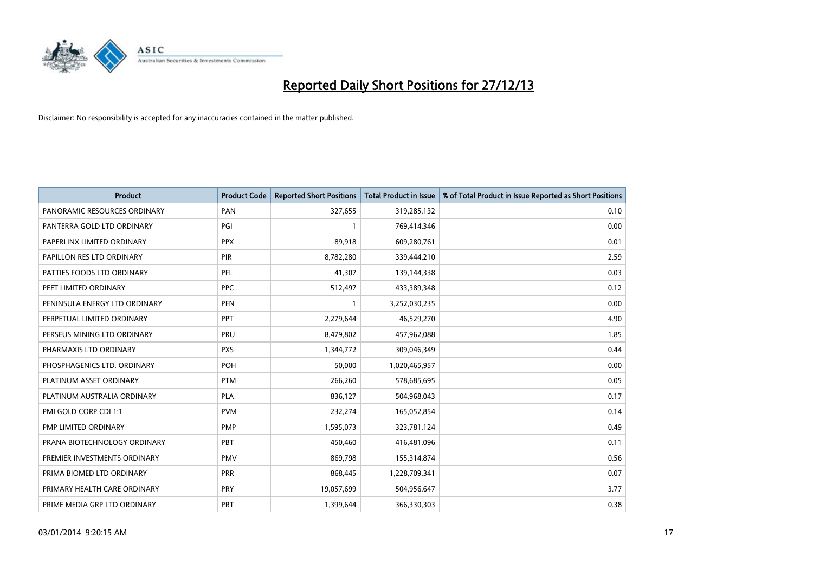

| <b>Product</b>                | <b>Product Code</b> | <b>Reported Short Positions</b> | <b>Total Product in Issue</b> | % of Total Product in Issue Reported as Short Positions |
|-------------------------------|---------------------|---------------------------------|-------------------------------|---------------------------------------------------------|
| PANORAMIC RESOURCES ORDINARY  | PAN                 | 327,655                         | 319,285,132                   | 0.10                                                    |
| PANTERRA GOLD LTD ORDINARY    | PGI                 |                                 | 769,414,346                   | 0.00                                                    |
| PAPERLINX LIMITED ORDINARY    | <b>PPX</b>          | 89,918                          | 609,280,761                   | 0.01                                                    |
| PAPILLON RES LTD ORDINARY     | <b>PIR</b>          | 8,782,280                       | 339,444,210                   | 2.59                                                    |
| PATTIES FOODS LTD ORDINARY    | PFL                 | 41,307                          | 139,144,338                   | 0.03                                                    |
| PEET LIMITED ORDINARY         | <b>PPC</b>          | 512,497                         | 433,389,348                   | 0.12                                                    |
| PENINSULA ENERGY LTD ORDINARY | <b>PEN</b>          |                                 | 3,252,030,235                 | 0.00                                                    |
| PERPETUAL LIMITED ORDINARY    | PPT                 | 2,279,644                       | 46,529,270                    | 4.90                                                    |
| PERSEUS MINING LTD ORDINARY   | PRU                 | 8,479,802                       | 457,962,088                   | 1.85                                                    |
| PHARMAXIS LTD ORDINARY        | <b>PXS</b>          | 1,344,772                       | 309,046,349                   | 0.44                                                    |
| PHOSPHAGENICS LTD. ORDINARY   | <b>POH</b>          | 50,000                          | 1,020,465,957                 | 0.00                                                    |
| PLATINUM ASSET ORDINARY       | <b>PTM</b>          | 266,260                         | 578,685,695                   | 0.05                                                    |
| PLATINUM AUSTRALIA ORDINARY   | <b>PLA</b>          | 836,127                         | 504,968,043                   | 0.17                                                    |
| PMI GOLD CORP CDI 1:1         | <b>PVM</b>          | 232,274                         | 165,052,854                   | 0.14                                                    |
| PMP LIMITED ORDINARY          | <b>PMP</b>          | 1,595,073                       | 323,781,124                   | 0.49                                                    |
| PRANA BIOTECHNOLOGY ORDINARY  | <b>PBT</b>          | 450,460                         | 416,481,096                   | 0.11                                                    |
| PREMIER INVESTMENTS ORDINARY  | <b>PMV</b>          | 869,798                         | 155,314,874                   | 0.56                                                    |
| PRIMA BIOMED LTD ORDINARY     | <b>PRR</b>          | 868,445                         | 1,228,709,341                 | 0.07                                                    |
| PRIMARY HEALTH CARE ORDINARY  | <b>PRY</b>          | 19,057,699                      | 504,956,647                   | 3.77                                                    |
| PRIME MEDIA GRP LTD ORDINARY  | PRT                 | 1,399,644                       | 366,330,303                   | 0.38                                                    |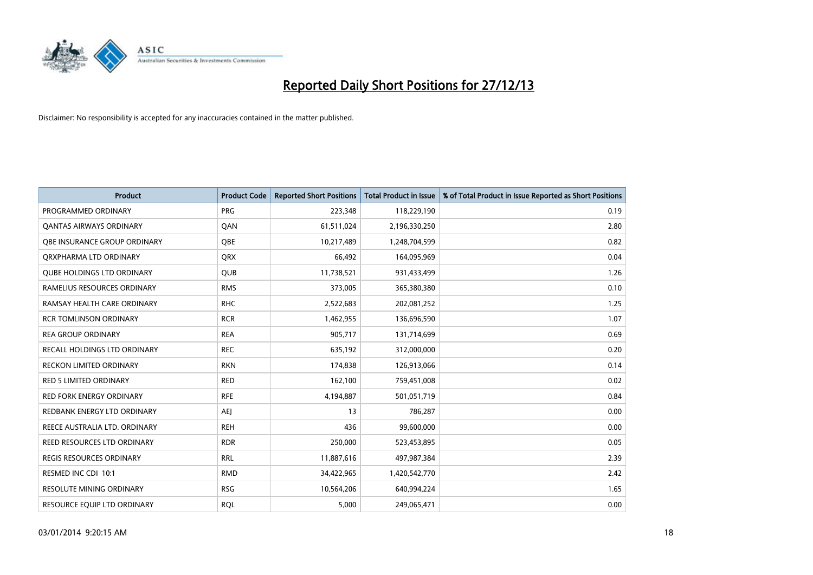

| <b>Product</b>                      | <b>Product Code</b> | <b>Reported Short Positions</b> | <b>Total Product in Issue</b> | % of Total Product in Issue Reported as Short Positions |
|-------------------------------------|---------------------|---------------------------------|-------------------------------|---------------------------------------------------------|
| PROGRAMMED ORDINARY                 | <b>PRG</b>          | 223,348                         | 118,229,190                   | 0.19                                                    |
| <b>QANTAS AIRWAYS ORDINARY</b>      | QAN                 | 61,511,024                      | 2,196,330,250                 | 2.80                                                    |
| <b>OBE INSURANCE GROUP ORDINARY</b> | <b>OBE</b>          | 10,217,489                      | 1,248,704,599                 | 0.82                                                    |
| ORXPHARMA LTD ORDINARY              | QRX                 | 66,492                          | 164,095,969                   | 0.04                                                    |
| <b>QUBE HOLDINGS LTD ORDINARY</b>   | <b>QUB</b>          | 11,738,521                      | 931,433,499                   | 1.26                                                    |
| RAMELIUS RESOURCES ORDINARY         | <b>RMS</b>          | 373,005                         | 365,380,380                   | 0.10                                                    |
| RAMSAY HEALTH CARE ORDINARY         | <b>RHC</b>          | 2,522,683                       | 202,081,252                   | 1.25                                                    |
| <b>RCR TOMLINSON ORDINARY</b>       | <b>RCR</b>          | 1,462,955                       | 136,696,590                   | 1.07                                                    |
| <b>REA GROUP ORDINARY</b>           | <b>REA</b>          | 905,717                         | 131,714,699                   | 0.69                                                    |
| <b>RECALL HOLDINGS LTD ORDINARY</b> | <b>REC</b>          | 635,192                         | 312,000,000                   | 0.20                                                    |
| RECKON LIMITED ORDINARY             | <b>RKN</b>          | 174,838                         | 126,913,066                   | 0.14                                                    |
| <b>RED 5 LIMITED ORDINARY</b>       | <b>RED</b>          | 162,100                         | 759,451,008                   | 0.02                                                    |
| RED FORK ENERGY ORDINARY            | <b>RFE</b>          | 4,194,887                       | 501,051,719                   | 0.84                                                    |
| REDBANK ENERGY LTD ORDINARY         | <b>AEI</b>          | 13                              | 786,287                       | 0.00                                                    |
| REECE AUSTRALIA LTD. ORDINARY       | <b>REH</b>          | 436                             | 99,600,000                    | 0.00                                                    |
| REED RESOURCES LTD ORDINARY         | <b>RDR</b>          | 250,000                         | 523,453,895                   | 0.05                                                    |
| REGIS RESOURCES ORDINARY            | <b>RRL</b>          | 11,887,616                      | 497,987,384                   | 2.39                                                    |
| RESMED INC CDI 10:1                 | <b>RMD</b>          | 34,422,965                      | 1,420,542,770                 | 2.42                                                    |
| <b>RESOLUTE MINING ORDINARY</b>     | <b>RSG</b>          | 10,564,206                      | 640,994,224                   | 1.65                                                    |
| RESOURCE EQUIP LTD ORDINARY         | <b>RQL</b>          | 5,000                           | 249,065,471                   | 0.00                                                    |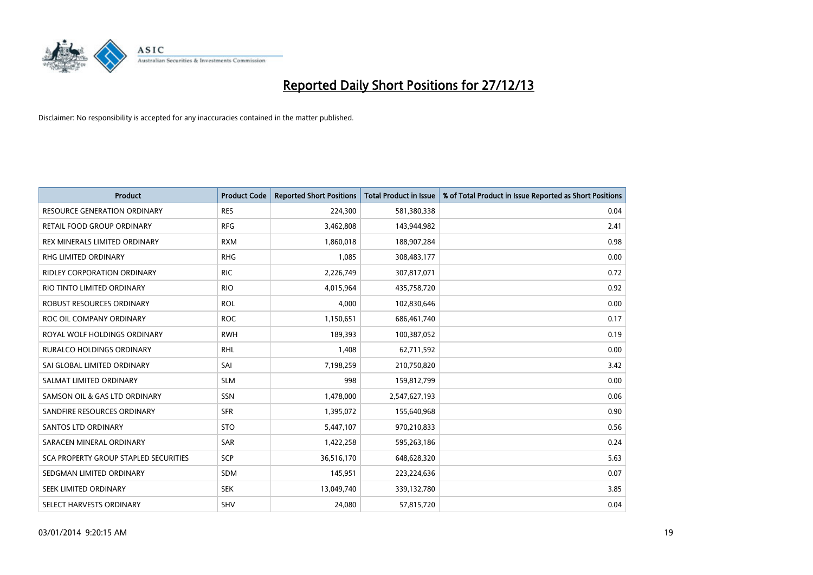

| <b>Product</b>                               | <b>Product Code</b> | <b>Reported Short Positions</b> | <b>Total Product in Issue</b> | % of Total Product in Issue Reported as Short Positions |
|----------------------------------------------|---------------------|---------------------------------|-------------------------------|---------------------------------------------------------|
| <b>RESOURCE GENERATION ORDINARY</b>          | <b>RES</b>          | 224,300                         | 581,380,338                   | 0.04                                                    |
| RETAIL FOOD GROUP ORDINARY                   | <b>RFG</b>          | 3,462,808                       | 143,944,982                   | 2.41                                                    |
| REX MINERALS LIMITED ORDINARY                | <b>RXM</b>          | 1,860,018                       | 188,907,284                   | 0.98                                                    |
| <b>RHG LIMITED ORDINARY</b>                  | <b>RHG</b>          | 1,085                           | 308,483,177                   | 0.00                                                    |
| <b>RIDLEY CORPORATION ORDINARY</b>           | <b>RIC</b>          | 2,226,749                       | 307,817,071                   | 0.72                                                    |
| RIO TINTO LIMITED ORDINARY                   | <b>RIO</b>          | 4,015,964                       | 435,758,720                   | 0.92                                                    |
| <b>ROBUST RESOURCES ORDINARY</b>             | <b>ROL</b>          | 4,000                           | 102,830,646                   | 0.00                                                    |
| ROC OIL COMPANY ORDINARY                     | <b>ROC</b>          | 1,150,651                       | 686,461,740                   | 0.17                                                    |
| ROYAL WOLF HOLDINGS ORDINARY                 | <b>RWH</b>          | 189,393                         | 100,387,052                   | 0.19                                                    |
| <b>RURALCO HOLDINGS ORDINARY</b>             | <b>RHL</b>          | 1,408                           | 62,711,592                    | 0.00                                                    |
| SAI GLOBAL LIMITED ORDINARY                  | SAI                 | 7,198,259                       | 210,750,820                   | 3.42                                                    |
| SALMAT LIMITED ORDINARY                      | <b>SLM</b>          | 998                             | 159,812,799                   | 0.00                                                    |
| SAMSON OIL & GAS LTD ORDINARY                | SSN                 | 1,478,000                       | 2,547,627,193                 | 0.06                                                    |
| SANDFIRE RESOURCES ORDINARY                  | <b>SFR</b>          | 1,395,072                       | 155,640,968                   | 0.90                                                    |
| SANTOS LTD ORDINARY                          | <b>STO</b>          | 5,447,107                       | 970,210,833                   | 0.56                                                    |
| SARACEN MINERAL ORDINARY                     | SAR                 | 1,422,258                       | 595,263,186                   | 0.24                                                    |
| <b>SCA PROPERTY GROUP STAPLED SECURITIES</b> | SCP                 | 36,516,170                      | 648,628,320                   | 5.63                                                    |
| SEDGMAN LIMITED ORDINARY                     | <b>SDM</b>          | 145,951                         | 223,224,636                   | 0.07                                                    |
| SEEK LIMITED ORDINARY                        | <b>SEK</b>          | 13,049,740                      | 339,132,780                   | 3.85                                                    |
| SELECT HARVESTS ORDINARY                     | <b>SHV</b>          | 24,080                          | 57,815,720                    | 0.04                                                    |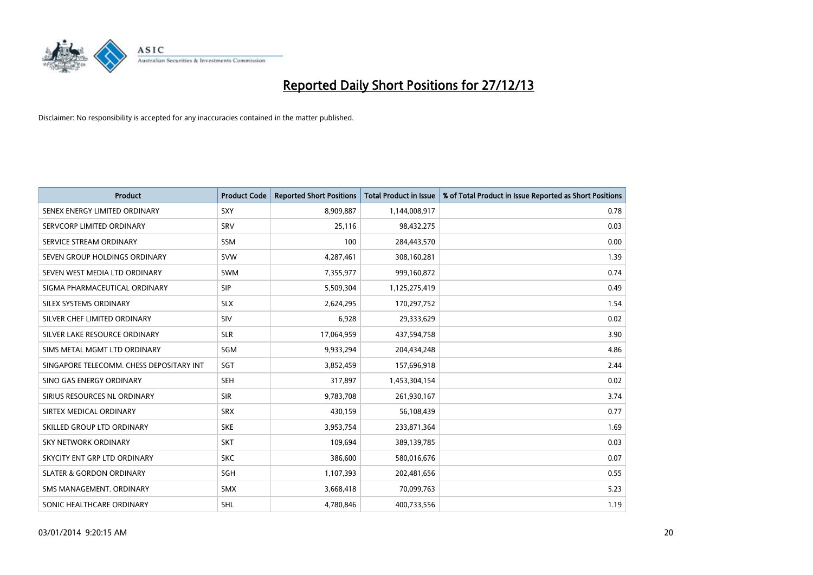

| <b>Product</b>                           | <b>Product Code</b> | <b>Reported Short Positions</b> | <b>Total Product in Issue</b> | % of Total Product in Issue Reported as Short Positions |
|------------------------------------------|---------------------|---------------------------------|-------------------------------|---------------------------------------------------------|
| SENEX ENERGY LIMITED ORDINARY            | <b>SXY</b>          | 8,909,887                       | 1,144,008,917                 | 0.78                                                    |
| SERVCORP LIMITED ORDINARY                | SRV                 | 25,116                          | 98,432,275                    | 0.03                                                    |
| SERVICE STREAM ORDINARY                  | <b>SSM</b>          | 100                             | 284,443,570                   | 0.00                                                    |
| SEVEN GROUP HOLDINGS ORDINARY            | <b>SVW</b>          | 4,287,461                       | 308,160,281                   | 1.39                                                    |
| SEVEN WEST MEDIA LTD ORDINARY            | <b>SWM</b>          | 7,355,977                       | 999,160,872                   | 0.74                                                    |
| SIGMA PHARMACEUTICAL ORDINARY            | <b>SIP</b>          | 5,509,304                       | 1,125,275,419                 | 0.49                                                    |
| SILEX SYSTEMS ORDINARY                   | <b>SLX</b>          | 2,624,295                       | 170,297,752                   | 1.54                                                    |
| SILVER CHEF LIMITED ORDINARY             | SIV                 | 6,928                           | 29,333,629                    | 0.02                                                    |
| SILVER LAKE RESOURCE ORDINARY            | <b>SLR</b>          | 17,064,959                      | 437,594,758                   | 3.90                                                    |
| SIMS METAL MGMT LTD ORDINARY             | SGM                 | 9,933,294                       | 204,434,248                   | 4.86                                                    |
| SINGAPORE TELECOMM. CHESS DEPOSITARY INT | SGT                 | 3,852,459                       | 157,696,918                   | 2.44                                                    |
| SINO GAS ENERGY ORDINARY                 | <b>SEH</b>          | 317,897                         | 1,453,304,154                 | 0.02                                                    |
| SIRIUS RESOURCES NL ORDINARY             | <b>SIR</b>          | 9,783,708                       | 261,930,167                   | 3.74                                                    |
| SIRTEX MEDICAL ORDINARY                  | <b>SRX</b>          | 430,159                         | 56,108,439                    | 0.77                                                    |
| SKILLED GROUP LTD ORDINARY               | <b>SKE</b>          | 3,953,754                       | 233,871,364                   | 1.69                                                    |
| SKY NETWORK ORDINARY                     | <b>SKT</b>          | 109,694                         | 389,139,785                   | 0.03                                                    |
| SKYCITY ENT GRP LTD ORDINARY             | <b>SKC</b>          | 386,600                         | 580,016,676                   | 0.07                                                    |
| <b>SLATER &amp; GORDON ORDINARY</b>      | SGH                 | 1,107,393                       | 202,481,656                   | 0.55                                                    |
| SMS MANAGEMENT, ORDINARY                 | <b>SMX</b>          | 3,668,418                       | 70,099,763                    | 5.23                                                    |
| SONIC HEALTHCARE ORDINARY                | <b>SHL</b>          | 4,780,846                       | 400,733,556                   | 1.19                                                    |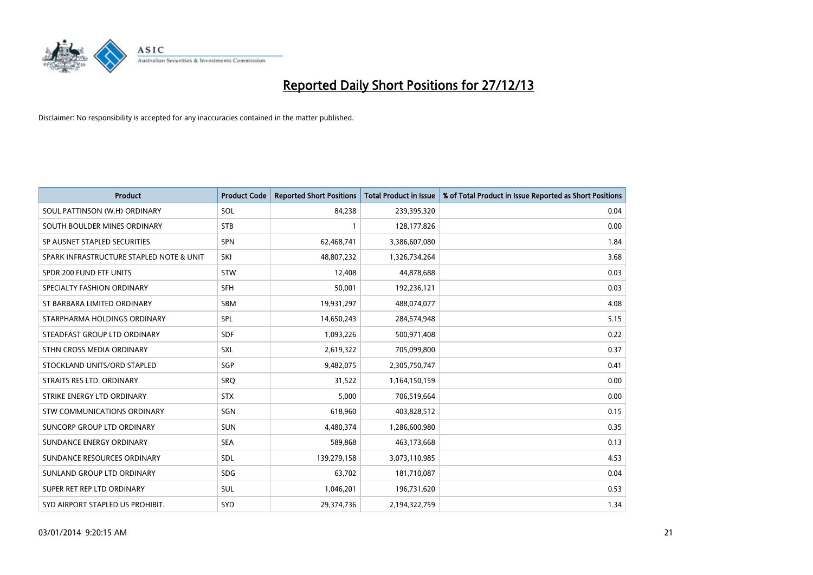

| <b>Product</b>                           | <b>Product Code</b> | <b>Reported Short Positions</b> | <b>Total Product in Issue</b> | % of Total Product in Issue Reported as Short Positions |
|------------------------------------------|---------------------|---------------------------------|-------------------------------|---------------------------------------------------------|
| SOUL PATTINSON (W.H) ORDINARY            | SOL                 | 84,238                          | 239,395,320                   | 0.04                                                    |
| SOUTH BOULDER MINES ORDINARY             | <b>STB</b>          |                                 | 128,177,826                   | 0.00                                                    |
| SP AUSNET STAPLED SECURITIES             | <b>SPN</b>          | 62,468,741                      | 3,386,607,080                 | 1.84                                                    |
| SPARK INFRASTRUCTURE STAPLED NOTE & UNIT | SKI                 | 48,807,232                      | 1,326,734,264                 | 3.68                                                    |
| SPDR 200 FUND ETF UNITS                  | <b>STW</b>          | 12,408                          | 44,878,688                    | 0.03                                                    |
| SPECIALTY FASHION ORDINARY               | <b>SFH</b>          | 50,001                          | 192,236,121                   | 0.03                                                    |
| ST BARBARA LIMITED ORDINARY              | <b>SBM</b>          | 19,931,297                      | 488,074,077                   | 4.08                                                    |
| STARPHARMA HOLDINGS ORDINARY             | SPL                 | 14,650,243                      | 284,574,948                   | 5.15                                                    |
| STEADFAST GROUP LTD ORDINARY             | <b>SDF</b>          | 1,093,226                       | 500,971,408                   | 0.22                                                    |
| STHN CROSS MEDIA ORDINARY                | <b>SXL</b>          | 2,619,322                       | 705,099,800                   | 0.37                                                    |
| STOCKLAND UNITS/ORD STAPLED              | SGP                 | 9,482,075                       | 2,305,750,747                 | 0.41                                                    |
| STRAITS RES LTD. ORDINARY                | SRQ                 | 31,522                          | 1,164,150,159                 | 0.00                                                    |
| STRIKE ENERGY LTD ORDINARY               | <b>STX</b>          | 5,000                           | 706,519,664                   | 0.00                                                    |
| <b>STW COMMUNICATIONS ORDINARY</b>       | SGN                 | 618,960                         | 403,828,512                   | 0.15                                                    |
| SUNCORP GROUP LTD ORDINARY               | <b>SUN</b>          | 4,480,374                       | 1,286,600,980                 | 0.35                                                    |
| SUNDANCE ENERGY ORDINARY                 | <b>SEA</b>          | 589,868                         | 463,173,668                   | 0.13                                                    |
| SUNDANCE RESOURCES ORDINARY              | SDL                 | 139,279,158                     | 3,073,110,985                 | 4.53                                                    |
| SUNLAND GROUP LTD ORDINARY               | <b>SDG</b>          | 63,702                          | 181,710,087                   | 0.04                                                    |
| SUPER RET REP LTD ORDINARY               | SUL                 | 1,046,201                       | 196,731,620                   | 0.53                                                    |
| SYD AIRPORT STAPLED US PROHIBIT.         | SYD                 | 29,374,736                      | 2,194,322,759                 | 1.34                                                    |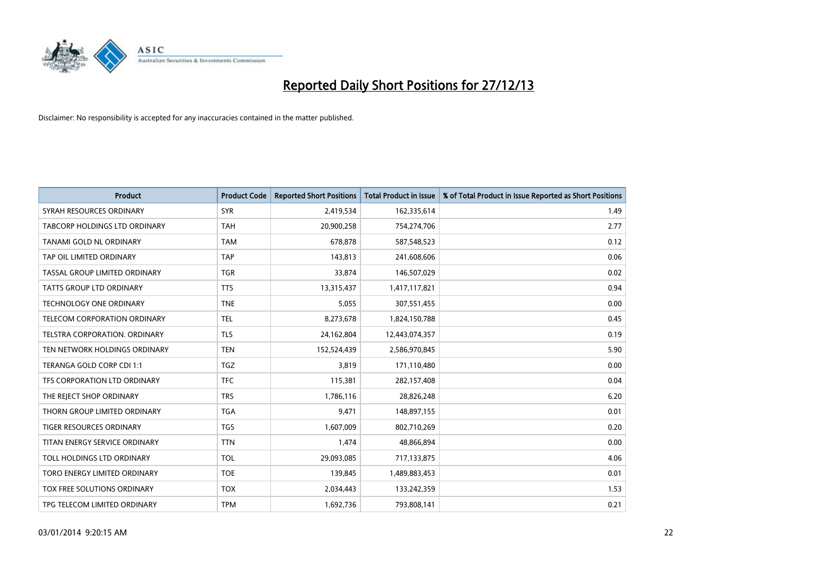

| <b>Product</b>                       | <b>Product Code</b> | <b>Reported Short Positions</b> | <b>Total Product in Issue</b> | % of Total Product in Issue Reported as Short Positions |
|--------------------------------------|---------------------|---------------------------------|-------------------------------|---------------------------------------------------------|
| SYRAH RESOURCES ORDINARY             | <b>SYR</b>          | 2,419,534                       | 162,335,614                   | 1.49                                                    |
| <b>TABCORP HOLDINGS LTD ORDINARY</b> | <b>TAH</b>          | 20,900,258                      | 754,274,706                   | 2.77                                                    |
| TANAMI GOLD NL ORDINARY              | <b>TAM</b>          | 678,878                         | 587,548,523                   | 0.12                                                    |
| TAP OIL LIMITED ORDINARY             | <b>TAP</b>          | 143,813                         | 241,608,606                   | 0.06                                                    |
| TASSAL GROUP LIMITED ORDINARY        | <b>TGR</b>          | 33,874                          | 146,507,029                   | 0.02                                                    |
| <b>TATTS GROUP LTD ORDINARY</b>      | <b>TTS</b>          | 13,315,437                      | 1,417,117,821                 | 0.94                                                    |
| TECHNOLOGY ONE ORDINARY              | <b>TNE</b>          | 5,055                           | 307,551,455                   | 0.00                                                    |
| TELECOM CORPORATION ORDINARY         | <b>TEL</b>          | 8,273,678                       | 1,824,150,788                 | 0.45                                                    |
| TELSTRA CORPORATION, ORDINARY        | <b>TLS</b>          | 24,162,804                      | 12,443,074,357                | 0.19                                                    |
| TEN NETWORK HOLDINGS ORDINARY        | <b>TEN</b>          | 152,524,439                     | 2,586,970,845                 | 5.90                                                    |
| TERANGA GOLD CORP CDI 1:1            | <b>TGZ</b>          | 3,819                           | 171,110,480                   | 0.00                                                    |
| TFS CORPORATION LTD ORDINARY         | <b>TFC</b>          | 115,381                         | 282,157,408                   | 0.04                                                    |
| THE REJECT SHOP ORDINARY             | <b>TRS</b>          | 1,786,116                       | 28,826,248                    | 6.20                                                    |
| THORN GROUP LIMITED ORDINARY         | <b>TGA</b>          | 9,471                           | 148,897,155                   | 0.01                                                    |
| <b>TIGER RESOURCES ORDINARY</b>      | TGS                 | 1,607,009                       | 802,710,269                   | 0.20                                                    |
| TITAN ENERGY SERVICE ORDINARY        | <b>TTN</b>          | 1,474                           | 48,866,894                    | 0.00                                                    |
| TOLL HOLDINGS LTD ORDINARY           | <b>TOL</b>          | 29,093,085                      | 717,133,875                   | 4.06                                                    |
| TORO ENERGY LIMITED ORDINARY         | <b>TOE</b>          | 139,845                         | 1,489,883,453                 | 0.01                                                    |
| TOX FREE SOLUTIONS ORDINARY          | <b>TOX</b>          | 2,034,443                       | 133,242,359                   | 1.53                                                    |
| TPG TELECOM LIMITED ORDINARY         | <b>TPM</b>          | 1,692,736                       | 793,808,141                   | 0.21                                                    |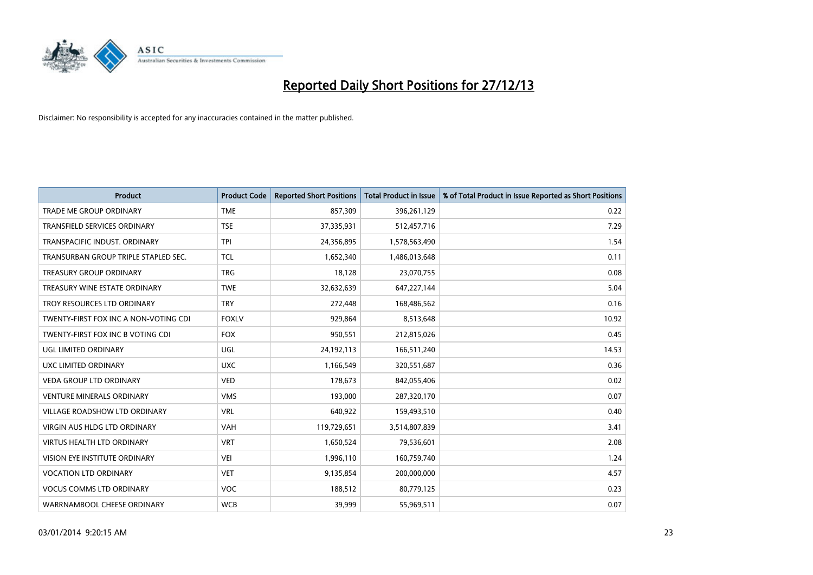

| Product                               | <b>Product Code</b> | <b>Reported Short Positions</b> | <b>Total Product in Issue</b> | % of Total Product in Issue Reported as Short Positions |
|---------------------------------------|---------------------|---------------------------------|-------------------------------|---------------------------------------------------------|
| <b>TRADE ME GROUP ORDINARY</b>        | <b>TME</b>          | 857,309                         | 396,261,129                   | 0.22                                                    |
| TRANSFIELD SERVICES ORDINARY          | <b>TSE</b>          | 37,335,931                      | 512,457,716                   | 7.29                                                    |
| TRANSPACIFIC INDUST, ORDINARY         | <b>TPI</b>          | 24,356,895                      | 1,578,563,490                 | 1.54                                                    |
| TRANSURBAN GROUP TRIPLE STAPLED SEC.  | <b>TCL</b>          | 1,652,340                       | 1,486,013,648                 | 0.11                                                    |
| <b>TREASURY GROUP ORDINARY</b>        | <b>TRG</b>          | 18,128                          | 23,070,755                    | 0.08                                                    |
| TREASURY WINE ESTATE ORDINARY         | <b>TWE</b>          | 32,632,639                      | 647,227,144                   | 5.04                                                    |
| TROY RESOURCES LTD ORDINARY           | <b>TRY</b>          | 272,448                         | 168,486,562                   | 0.16                                                    |
| TWENTY-FIRST FOX INC A NON-VOTING CDI | <b>FOXLV</b>        | 929,864                         | 8,513,648                     | 10.92                                                   |
| TWENTY-FIRST FOX INC B VOTING CDI     | <b>FOX</b>          | 950,551                         | 212,815,026                   | 0.45                                                    |
| UGL LIMITED ORDINARY                  | UGL                 | 24,192,113                      | 166,511,240                   | 14.53                                                   |
| UXC LIMITED ORDINARY                  | <b>UXC</b>          | 1,166,549                       | 320,551,687                   | 0.36                                                    |
| <b>VEDA GROUP LTD ORDINARY</b>        | <b>VED</b>          | 178,673                         | 842,055,406                   | 0.02                                                    |
| <b>VENTURE MINERALS ORDINARY</b>      | <b>VMS</b>          | 193,000                         | 287,320,170                   | 0.07                                                    |
| <b>VILLAGE ROADSHOW LTD ORDINARY</b>  | <b>VRL</b>          | 640,922                         | 159,493,510                   | 0.40                                                    |
| VIRGIN AUS HLDG LTD ORDINARY          | <b>VAH</b>          | 119,729,651                     | 3,514,807,839                 | 3.41                                                    |
| <b>VIRTUS HEALTH LTD ORDINARY</b>     | <b>VRT</b>          | 1,650,524                       | 79,536,601                    | 2.08                                                    |
| VISION EYE INSTITUTE ORDINARY         | <b>VEI</b>          | 1,996,110                       | 160,759,740                   | 1.24                                                    |
| <b>VOCATION LTD ORDINARY</b>          | <b>VET</b>          | 9,135,854                       | 200,000,000                   | 4.57                                                    |
| <b>VOCUS COMMS LTD ORDINARY</b>       | <b>VOC</b>          | 188,512                         | 80,779,125                    | 0.23                                                    |
| WARRNAMBOOL CHEESE ORDINARY           | <b>WCB</b>          | 39,999                          | 55,969,511                    | 0.07                                                    |